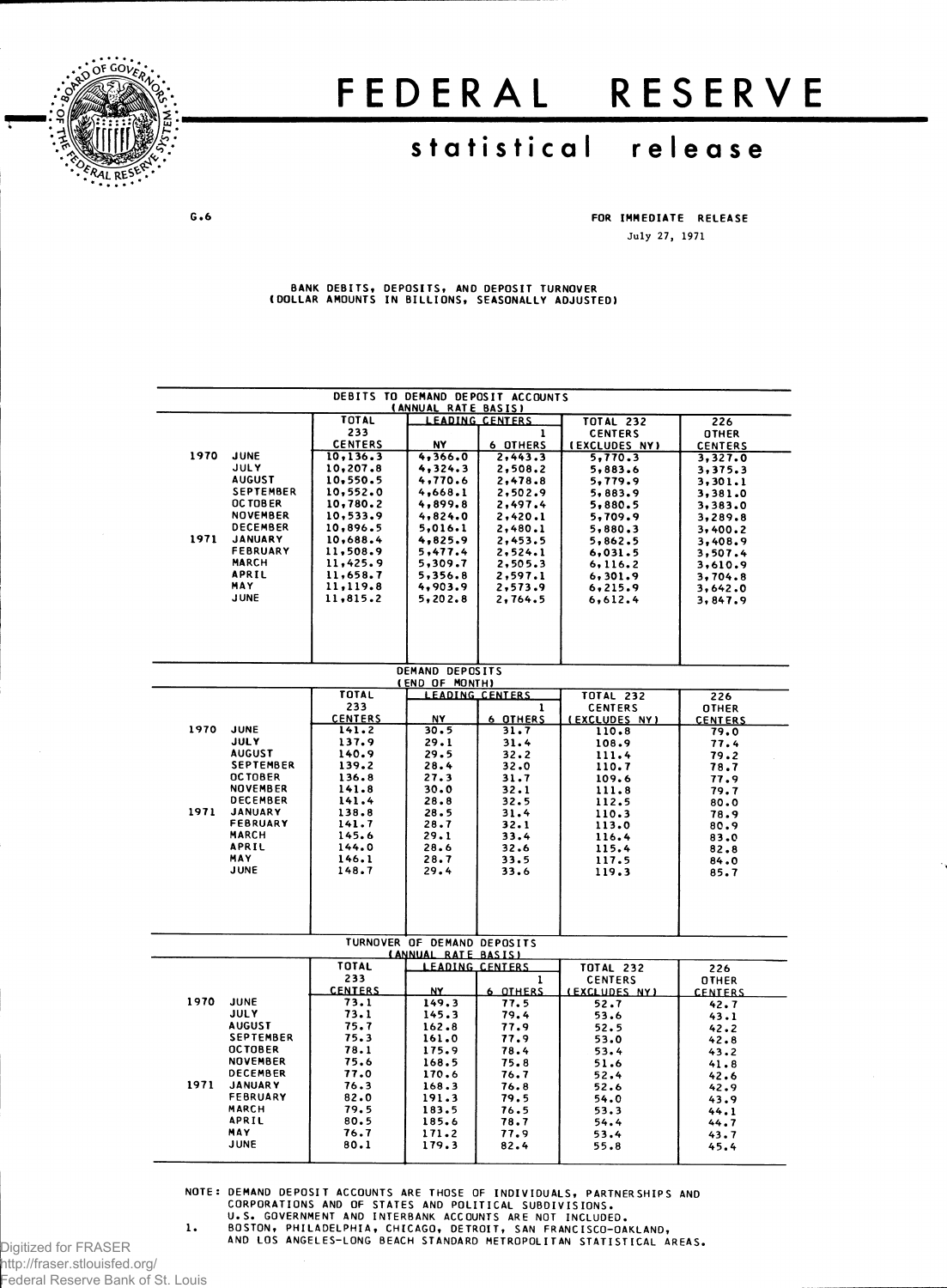

## FEDERAL RESERVE

## **statistica l releas e**

**G . 6 FOR IMMEDIAT E RELEAS E July 27, 1971**

BANK DEBITS, DEPUSITS, AND DEPUSIT TURNOVER<br>(DOLLAR AMOUNTS IN BILLIONS, SEASONALLY ADJUSTED)

|      | DEBITS TO DEMAND DEPOSIT ACCOUNTS<br>(ANNUAL RATE BASIS) |                      |                                               |                        |                                    |                     |  |  |  |  |
|------|----------------------------------------------------------|----------------------|-----------------------------------------------|------------------------|------------------------------------|---------------------|--|--|--|--|
|      |                                                          | TOTAL                |                                               | <b>LEADING CENTERS</b> | <b>TOTAL 232</b>                   | 226                 |  |  |  |  |
|      |                                                          | 233                  |                                               | $\mathbf{1}$           | <b>CENTERS</b>                     | <b>OTHER</b>        |  |  |  |  |
| 1970 | <b>JUNE</b>                                              | <b>CENTERS</b>       | N٧                                            | <b>6 OTHERS</b>        | (EXCLUDES NY)                      | <b>CENTERS</b>      |  |  |  |  |
|      | <b>JULY</b>                                              | 10.136.3<br>10,207.8 | 4,366.0<br>4,324.3                            | 2, 443.3<br>2,508.2    | 5,770.3<br>5,883.6                 | 3,327.0             |  |  |  |  |
|      | <b>AUGUST</b>                                            | 10,550.5             | 4,770.6                                       | 2,478.8                | 5,779.9                            | 3,375.3<br>3,301.1  |  |  |  |  |
|      | <b>SEPTEMBER</b>                                         | 10,552.0             | 4,668.1                                       | 2,502.9                | 5,883.9                            | 3,381.0             |  |  |  |  |
|      | OC TOBER                                                 | 10,780.2             | 4,899.8                                       | 2,497.4                | 5,880.5                            | 3,383.0             |  |  |  |  |
|      | <b>NOVEMBER</b>                                          | 10,533.9             | 4,824.0                                       | 2,420.1                | 5,709.9                            | 3,289.8             |  |  |  |  |
|      | <b>DECEMBER</b>                                          | 10,896.5             | 5,016.1                                       | 2,480.1                | 5,880.3                            | 3,400.2             |  |  |  |  |
| 1971 | <b>JANUARY</b><br>FEBRUARY                               | 10,688.4<br>11,508.9 | 4,825.9<br>5,477.4                            | 2,453.5<br>2, 524.1    | 5,862.5<br>6,031.5                 | 3,408.9             |  |  |  |  |
|      | <b>MARCH</b>                                             | 11,425.9             | 5,309.7                                       | 2,505.3                | 6,116.2                            | 3,507.4<br>3,610.9  |  |  |  |  |
|      | APRIL                                                    | 11,658.7             | 5,356.8                                       | 2,597.1                | 6, 301.9                           | 3,704.8             |  |  |  |  |
|      | <b>MAY</b>                                               | 11,119.8             | 4,903.9                                       | 2,573.9                | 6, 215.9                           | 3,642.0             |  |  |  |  |
|      | <b>JUNE</b>                                              | 11,815.2             | 5,202.8                                       | 2,764.5                | 6,612,4                            | 3,847.9             |  |  |  |  |
|      |                                                          |                      |                                               |                        |                                    |                     |  |  |  |  |
|      |                                                          |                      |                                               |                        |                                    |                     |  |  |  |  |
|      |                                                          |                      |                                               |                        |                                    |                     |  |  |  |  |
|      |                                                          |                      |                                               |                        |                                    |                     |  |  |  |  |
|      |                                                          |                      | DEMAND DEPOSITS                               |                        |                                    |                     |  |  |  |  |
|      |                                                          | <b>TOTAL</b>         | (END OF MONTH)                                | <b>LEADING CENTERS</b> | <b>TOTAL 232</b>                   | 226                 |  |  |  |  |
|      |                                                          | 233                  |                                               | 1                      | <b>CENTERS</b>                     | <b>OTHER</b>        |  |  |  |  |
|      |                                                          | <b>CENTERS</b>       | <b>NY</b>                                     | <b>6 OTHERS</b>        | (EXCLUDES NY)                      | <b>CENTERS</b>      |  |  |  |  |
| 1970 | JUNE                                                     | 141.2                | 30.5                                          | 31.7                   | 110.8                              | 79.0                |  |  |  |  |
|      | <b>JULY</b>                                              | 137.9                | 29.1                                          | 31.4                   | 108.9                              | 77.4                |  |  |  |  |
|      | <b>AUGUST</b><br><b>SEPTEMBER</b>                        | 140.9<br>139.2       | 29.5<br>28.4                                  | 32.2<br>32.0           | 111.4                              | 79.2                |  |  |  |  |
|      | <b>OCTOBER</b>                                           | 136.8                | 27.3                                          | 31.7                   | 110.7<br>109.6                     | 78.7<br>77.9        |  |  |  |  |
|      | <b>NOVEMBER</b>                                          | 141.8                | 30.0                                          | 32.1                   | 111.8                              | 79.7                |  |  |  |  |
|      | <b>DECEMBER</b>                                          | 141.4                | 28.8                                          | 32.5                   | 112.5                              | 80.0                |  |  |  |  |
| 1971 | <b>JANUARY</b>                                           | 138.8                | 28.5                                          | 31.4                   | 110.3                              | 78.9                |  |  |  |  |
|      | <b>FEBRUARY</b><br><b>MARCH</b>                          | 141.7                | 28.7                                          | 32.1                   | 113.0                              | 80.9                |  |  |  |  |
|      | APRIL                                                    | 145.6<br>144.0       | 29.1<br>28.6                                  | 33.4<br>32.6           | 116.4<br>115.4                     | 83.0                |  |  |  |  |
|      | <b>MAY</b>                                               | 146.1                | 28.7                                          | 33.5                   | 117.5                              | 82.8<br>84.0        |  |  |  |  |
|      | <b>JUNE</b>                                              | 148.7                | 29.4                                          | 33.6                   | 119.3                              | 85.7                |  |  |  |  |
|      |                                                          |                      |                                               |                        |                                    |                     |  |  |  |  |
|      |                                                          |                      |                                               |                        |                                    |                     |  |  |  |  |
|      |                                                          |                      |                                               |                        |                                    |                     |  |  |  |  |
|      |                                                          |                      |                                               |                        |                                    |                     |  |  |  |  |
|      |                                                          |                      | TURNOVER OF DEMAND DEPOSITS                   |                        |                                    |                     |  |  |  |  |
|      |                                                          | <b>TOTAL</b>         | (ANNUAL RATE BASIS)<br><b>LEADING CENTERS</b> |                        |                                    |                     |  |  |  |  |
|      |                                                          | 233                  |                                               | 1                      | <b>TOTAL 232</b><br><b>CENTERS</b> | 226<br><b>OTHER</b> |  |  |  |  |
|      |                                                          | <b>CENTERS</b>       | NY.                                           | 6 OTHERS               | (EXCLUDES NY)                      | <b>CENTERS</b>      |  |  |  |  |
| 1970 | <b>JUNE</b>                                              | 73.1                 | 149.3                                         | 77.5                   | 52.7                               | 42.7                |  |  |  |  |
|      | <b>JULY</b>                                              | 73.1                 | 145.3                                         | 79.4                   | 53.6                               | 43.1                |  |  |  |  |
|      | <b>AUGUST</b>                                            | 75.7                 | 162.8                                         | 77.9                   | 52.5                               | 42.2                |  |  |  |  |
|      | <b>SEPTEMBER</b><br><b>OCTOBER</b>                       | 75.3<br>78.1         | 161.0<br>175.9                                | 77.9<br>78.4           | 53.0                               | 42.8                |  |  |  |  |
|      | <b>NOVEMBER</b>                                          | 75.6                 | 168.5                                         | 75.8                   | 53.4<br>51.6                       | 43.2<br>41.8        |  |  |  |  |
|      | <b>DECEMBER</b>                                          | 77.0                 | 170.6                                         | 76.7                   | 52.4                               | 42.6                |  |  |  |  |
| 1971 | <b>JANUARY</b>                                           | 76.3                 | 168.3                                         | 76.8                   | 52.6                               | 42.9                |  |  |  |  |
|      | <b>FEBRUARY</b>                                          | 82.0                 | 191.3                                         | 79.5                   | 54.0                               | 43.9                |  |  |  |  |
|      | <b>MARCH</b>                                             | 79.5                 | 183.5                                         | 76.5                   | 53.3                               | 44.1                |  |  |  |  |
|      | APRIL<br><b>MAY</b>                                      | 80.5<br>76.7         | 185.6<br>171.2                                | 78.7<br>77.9           | 54.4                               | 44.7                |  |  |  |  |
|      | <b>JUNE</b>                                              | 80.1                 | 179.3                                         | 82.4                   | 53.4<br>55.8                       | 43.7<br>45.4        |  |  |  |  |
|      |                                                          |                      |                                               |                        |                                    |                     |  |  |  |  |
|      |                                                          |                      |                                               |                        |                                    |                     |  |  |  |  |

NUIE: DEMAND DEPOSIT ACCOUNTS ARE THOSE OF INDIVIDUALS, PARTNERSHIPS AND<br>CORPORATIONS AND OF STATES AND POLITICAL SUBDIVISIONS.<br>U.S. GOVERNMENT AND INTERBANK ACCOUNTS ARE NOT INCLUDED.<br>1. BOSTON, PHILADELPHIA, CHICAGO, DET

Digitized for FRASER http://fraser.stlouisfed.org/

Federal Reserve Bank of St. Louis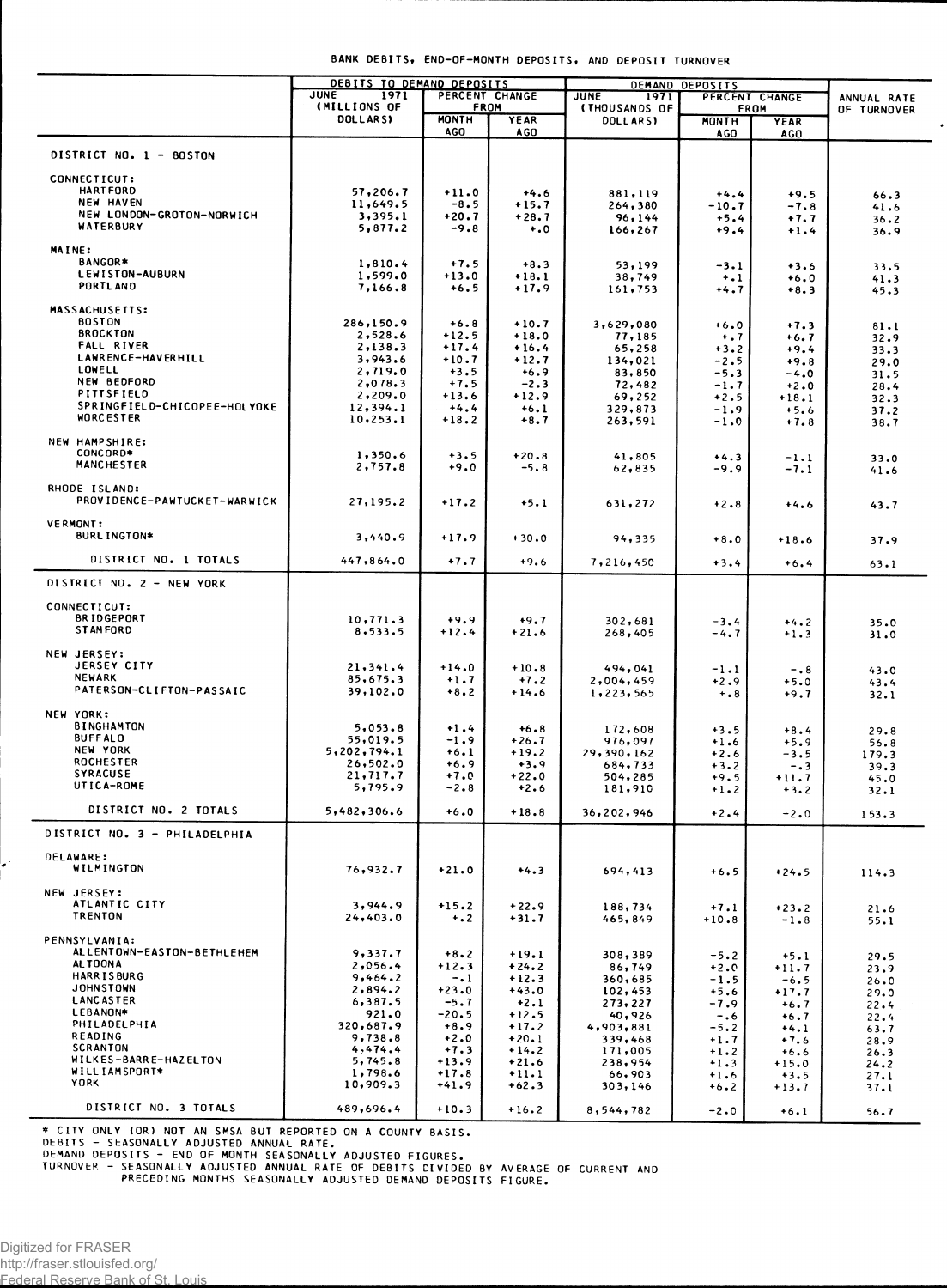|                                                                                                          | JUNE<br>1971<br>(MILLIONS OF |                     | PERCENT CHANGE<br><b>FROM</b> | ,<br><b>JUNE</b><br>1971<br>(THOUSANDS OF | <u>ULFUJIIJ</u><br>PERCENT CHANGE<br>FROM |                           | ANNUAL RATE<br>OF TURNOVER |
|----------------------------------------------------------------------------------------------------------|------------------------------|---------------------|-------------------------------|-------------------------------------------|-------------------------------------------|---------------------------|----------------------------|
|                                                                                                          | <b>DOLLARSY</b>              | <b>MONTH</b><br>AGO | <b>YEAR</b><br><b>AGO</b>     | <b>DOLLARSY</b>                           | <b>MONTH</b><br><b>AGO</b>                | <b>YEAR</b><br><b>AGO</b> |                            |
| DISTRICT NO. 1 - BOSTON                                                                                  |                              |                     |                               |                                           |                                           |                           |                            |
| CONNECTICUT:                                                                                             |                              |                     |                               |                                           |                                           |                           |                            |
| <b>HARTFORD</b>                                                                                          | 57,206.7                     | $+11.0$             | $+4.6$                        | 881,119                                   | $+4.4$                                    | $+9.5$                    | 66.3                       |
| NEW HAVEN<br>NEW LONDON-GROTON-NORWICH                                                                   | 11,649.5                     | $-8.5$              | $+15.7$                       | 264,380                                   | $-10.7$                                   | $-7.8$                    | 41.6                       |
| WATERBURY                                                                                                | 3,395.1<br>5,877.2           | $+20.7$<br>$-9.8$   | $+28.7$<br>$^{+.0}$           | 96,144<br>166,267                         | $+5.4$<br>$+9.4$                          | $+7.7$<br>$+1.4$          | 36.2<br>36.9               |
| MAINE:                                                                                                   |                              |                     |                               |                                           |                                           |                           |                            |
| BANGOR*                                                                                                  | 1,810.4                      | $+7.5$              | $+8.3$                        | 53,199                                    | $-3.1$                                    | $+3.6$                    | 33.5                       |
| <b>LEWISTON-AUBURN</b>                                                                                   | 1,599.0                      | $+13.0$             | $+18.1$                       | 38,749                                    | $+$ .1                                    | $+6.0$                    | 41.3                       |
| <b>PORTLAND</b>                                                                                          | 7,166.8                      | $+6.5$              | $+17.9$                       | 161,753                                   | +4.7                                      | $+8.3$                    | 45.3                       |
| <b>MASSACHUSETTS:</b>                                                                                    |                              |                     |                               |                                           |                                           |                           |                            |
| <b>BOSTON</b><br><b>BROCKTON</b>                                                                         | 286,150.9                    | $+6.8$              | $+10.7$                       | 3,629,080                                 | $+6.0$                                    | $+7.3$                    | 81.1                       |
| <b>FALL RIVER</b>                                                                                        | 2,528.6<br>2,138.3           | $+12.5$<br>$+17.4$  | $+18.0$<br>$+16.4$            | 77,185<br>65,258                          | $+ 0.7$<br>$+3.2$                         | $+6.7$<br>$+9.4$          | 32.9                       |
| LAWRENCE-HAVERHILL                                                                                       | 3,943.6                      | $+10.7$             | $+12.7$                       | 134,021                                   | $-2.5$                                    | $+9.8$                    | 33.3<br>29.0               |
| <b>LOWELL</b>                                                                                            | 2,719.0                      | $+3.5$              | $+6.9$                        | 83,850                                    | $-5.3$                                    | $-4.0$                    | 31.5                       |
| NEW BEDFORD<br>PITTSFIELD                                                                                | 2,078.3                      | $+7.5$              | $-2.3$                        | 72,482                                    | $-1.7$                                    | $+2.0$                    | 28.4                       |
| SPRINGFIELD-CHICOPEE-HOLYOKE                                                                             | 2,209.0<br>12,394.1          | $+13.6$<br>$+4.4$   | $+12.9$<br>$+6.1$             | 69,252<br>329,873                         | $+2.5$<br>$-1.9$                          | $+18.1$                   | 32.3                       |
| WORCESTER                                                                                                | 10, 253.1                    | $+18.2$             | $+8.7$                        | 263,591                                   | $-1.0$                                    | $+5.6$<br>$+7.8$          | 37.2<br>38.7               |
| NEW HAMPSHIRE:                                                                                           |                              |                     |                               |                                           |                                           |                           |                            |
| CONCORD*                                                                                                 | 1,350.6                      | $+3.5$              | $+20.8$                       | 41,805                                    | $+4.3$                                    | $-1.1$                    | 33.0                       |
| <b>MANCHESTER</b>                                                                                        | 2,757.8                      | $+9.0$              | $-5.8$                        | 62,835                                    | $-9.9$                                    | -7.1                      | 41.6                       |
| RHODE ISLAND:                                                                                            |                              |                     |                               |                                           |                                           |                           |                            |
| PROVIDENCE-PAWTUCKET-WARWICK                                                                             | 27,195.2                     | $+17.2$             | $+5.1$                        | 631,272                                   | $+2.8$                                    | $+4.6$                    | 43.7                       |
| <b>VERMONT:</b>                                                                                          |                              |                     |                               |                                           |                                           |                           |                            |
| <b>BURL INGTON*</b>                                                                                      | 3,440.9                      | $+17.9$             | $+30.0$                       | 94,335                                    | $+8.0$                                    | $+18.6$                   | 37.9                       |
| DISTRICT NO. 1 TOTALS                                                                                    | 447,864.0                    | $+7.7$              | $+9.6$                        | 7,216,450                                 | $+3.4$                                    | $+6.4$                    | 63.1                       |
| DISTRICT NO. 2 - NEW YORK                                                                                |                              |                     |                               |                                           |                                           |                           |                            |
| CONNECTICUT:                                                                                             |                              |                     |                               |                                           |                                           |                           |                            |
| <b>BRIDGEPORT</b>                                                                                        | 10,771.3                     | $+9.9$              | $+9.7$                        | 302,681                                   | $-3.4$                                    | $+4.2$                    |                            |
| <b>STAMFORD</b>                                                                                          | 8,533.5                      | $+12.4$             | $+21.6$                       | 268,405                                   | $-4.7$                                    | $+1.3$                    | 35.0<br>31.0               |
| NEW JERSEY:                                                                                              |                              |                     |                               |                                           |                                           |                           |                            |
| <b>JERSEY CITY</b>                                                                                       | 21,341.4                     | $+14.0$             | $+10.8$                       | 494,041                                   | $-1.1$                                    | $-0.8$                    | 43.0                       |
| <b>NEWARK</b>                                                                                            | 85,675.3                     | $+1.7$              | $+7.2$                        | 2,004,459                                 | $+2.9$                                    | $+5.0$                    | 43.4                       |
| PATERSON-CLIFTON-PASSAIC                                                                                 | 39,102.0                     | $+8.2$              | $+14.6$                       | 1,223,565                                 | $+ 0.8$                                   | $+9.7$                    | 32.1                       |
| NEW YORK:                                                                                                |                              |                     |                               |                                           |                                           |                           |                            |
| <b>BINGHAMTON</b><br><b>BUFFALO</b>                                                                      | 5,053.8                      | $+1.4$              | $+6.8$                        | 172,608                                   | $+3.5$                                    | $+8.4$                    | 29.8                       |
| NEW YORK                                                                                                 | 55,019.5<br>5,202,794.1      | $-1.9$<br>$+6.1$    | $+26.7$<br>$+19.2$            | 976,097<br>29,390,162                     | $+1.6$                                    | $+5.9$                    | 56.8                       |
| <b>ROCHESTER</b>                                                                                         | 26,502.0                     | $+6.9$              | $+3.9$                        | 684,733                                   | $+2.6$<br>$+3.2$                          | $-3.5$<br>$-0.3$          | 179.3<br>39.3              |
| <b>SYRACUSE</b>                                                                                          | 21,717.7                     | $+7.0$              | $+22.0$                       | 504,285                                   | $+9.5$                                    | $+11.7$                   | 45.0                       |
| UTICA-ROME                                                                                               | 5,795.9                      | $-2.8$              | $+2.6$                        | 181,910                                   | $+1.2$                                    | $+3.2$                    | 32.1                       |
| DISTRICT NO. 2 TOTALS                                                                                    | 5,482,306.6                  | $+6.0$              | $+18.8$                       | 36,202,946                                | $+2.4$                                    | $-2.0$                    | 153.3                      |
| DISTRICT NO. 3 - PHILADELPHIA                                                                            |                              |                     |                               |                                           |                                           |                           |                            |
| <b>DELAWARE:</b>                                                                                         |                              |                     |                               |                                           |                                           |                           |                            |
| WILMINGTON                                                                                               | 76,932.7                     | $+21.0$             | $+4.3$                        | 694,413                                   | $+6.5$                                    | $+24.5$                   | 114.3                      |
| NEW JERSEY:                                                                                              |                              |                     |                               |                                           |                                           |                           |                            |
| ATLANTIC CITY<br><b>TRENTON</b>                                                                          | 3,944.9                      | $+15.2$             | $+22.9$                       | 188,734                                   | $+7.1$                                    | $+23.2$                   | 21.6                       |
|                                                                                                          | 24,403.0                     | $+$ .2              | $+31.7$                       | 465,849                                   | $+10.8$                                   | $-1.8$                    | 55.1                       |
| PENNSYLVANIA:                                                                                            |                              |                     |                               |                                           |                                           |                           |                            |
| ALLENTOWN-EASTON-BETHLEHEM<br><b>ALTOONA</b>                                                             | 9,337.7<br>2,056.4           | $+8.2$<br>$+12.3$   | $+19.1$<br>$+24.2$            | 308,389                                   | $-5.2$                                    | $+5.1$                    | 29.5                       |
| <b>HARRISBURG</b>                                                                                        | 9,464.2                      | $-1$                | $+12.3$                       | 86,749<br>360,685                         | $+2.0$<br>$-1.5$                          | $+11.7$<br>$-6.5$         | 23.9<br>26.0               |
| <b>JOHNSTOWN</b>                                                                                         | 2,894.2                      | $+23.0$             | $+43.0$                       | 102,453                                   | $+5.6$                                    | $+17.7$                   | 29.0                       |
| <b>LANCASTER</b>                                                                                         | 6,387.5                      | $-5.7$              | $+2.1$                        | 273, 227                                  | $-7.9$                                    | $+6.7$                    | 22.4                       |
| LEBANON*<br>PHILADELPHIA                                                                                 | 921.0<br>320,687.9           | -20.5<br>$+8.9$     | $+12.5$<br>$+17.2$            | 40,926                                    | $-0.6$                                    | $+6.7$                    | 22.4                       |
| READING                                                                                                  | 9,738.8                      | $+2.0$              | $+20.1$                       | 4,903,881<br>339,468                      | $-5.2$<br>$+1.7$                          | $+4.1$<br>$+7.6$          | 63.7<br>28.9               |
| <b>SCRANTON</b>                                                                                          | 4,474.4                      | $+7.3$              | $+14.2$                       | 171,005                                   | $+1.2$                                    | $+6.6$                    | 26.3                       |
| WILKES-BARRE-HAZELTON<br>WILL IAMSPORT*                                                                  | 5,745.8                      | $+13.9$             | $+21.6$                       | 238,954                                   | $+1.3$                                    | $+15.0$                   | 24.2                       |
| <b>YORK</b>                                                                                              | 1,798.6<br>10,909.3          | $+17.8$<br>$+41.9$  | $+11.1$<br>$+62.3$            | 66,903<br>303,146                         | $+1.6$<br>$+6.2$                          | $+3.5$<br>$+13.7$         | 27.1<br>37.1               |
|                                                                                                          |                              |                     |                               |                                           |                                           |                           |                            |
| DISTRICT NO. 3 TOTALS                                                                                    | 489,696.4                    | $+10.3$             | $+16.2$                       | 8,544,782                                 | $-2.0$                                    | $+6.1$                    | 56.7                       |
| * CITY ONLY (OR) NOT AN SMSA BUT REPORTED ON A COUNTY BASIS.                                             |                              |                     |                               |                                           |                                           |                           |                            |
| DEBITS - SEASONALLY ADJUSTED ANNUAL RATE.<br>DEMAND DEPOSITS - END OF MONTH SEASONALLY ADJUSTED FIGURES. |                              |                     |                               |                                           |                                           |                           |                            |
| TURNOVER - SEASONALLY ADJUSTED ANNUAL RATE OF DEBITS DIVIDED BY AVERAGE OF CURRENT AND                   |                              |                     |                               |                                           |                                           |                           |                            |
| PRECEDING MONTHS SEASONALLY ADJUSTED DEMAND DEPOSITS FIGURE.                                             |                              |                     |                               |                                           |                                           |                           |                            |

BANK DEBITS, END-OF-MONTH DEPOSITS, AND DEPOSIT TURNOVER

DEMAND DEPOSITS

DEBITS TO DEMAND DEPOSITS

Ł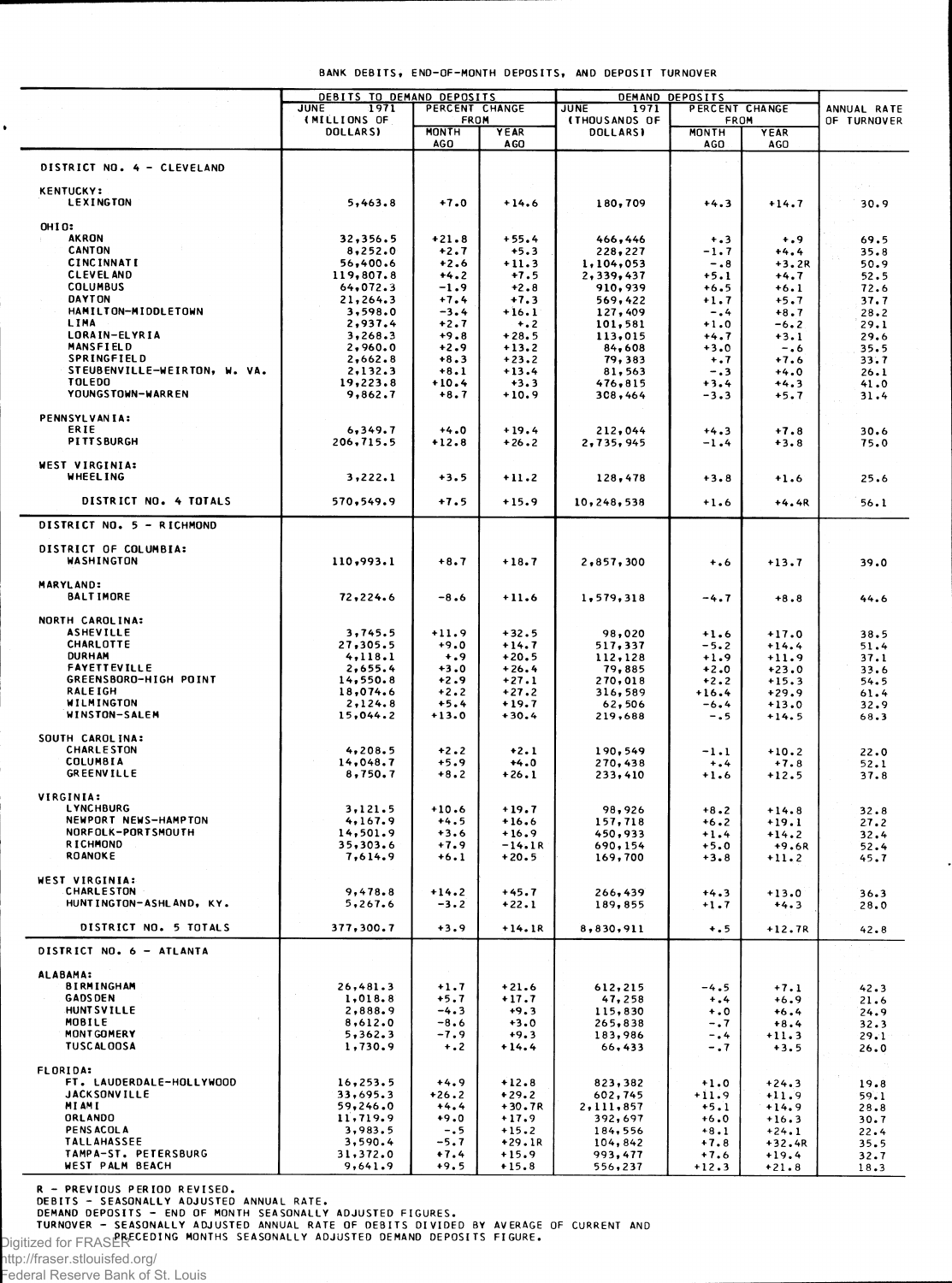|  | BANK DEBITS, END-OF-MONTH DEPOSITS, AND DEPOSIT TURNOVER |  |  |
|--|----------------------------------------------------------|--|--|
|  |                                                          |  |  |

| <b>JUNE</b><br>1971<br>PERCENT CHANGE<br>PERCENT CHANGE<br><b>JUNE</b><br>1971<br>ANNUAL RATE<br>(MILLIONS OF<br><b>FROM</b><br><b>(THOUSANDS OF</b><br>FROM<br>OF TURNOVER<br>DOLLARS)<br><b>MONTH</b><br>YEAR<br><b>MONTH</b><br><b>DOLLARSI</b><br><b>YEAR</b><br>AGO<br><b>AGO</b><br>AGO<br>AGO<br>DISTRICT NO. 4 - CLEVELAND<br><b>KENTUCKY:</b><br><b>LEXINGTON</b><br>$+7.0$<br>5,463.8<br>$+14.6$<br>180,709<br>$+4.3$<br>$+14.7$<br>30.9<br><b>OHIO:</b><br><b>AKRON</b><br>32,356.5<br>$+21.8$<br>$+55.4$<br>466,446<br>$+0.9$<br>69.5<br>$+ .3$<br><b>CANTON</b><br>8,252.0<br>$+2.7$<br>$+5.3$<br>228,227<br>-1.7<br>$+4.4$<br>35.8<br><b>CINCINNATI</b><br>56,400.6<br>$+2.6$<br>$+11.3$<br>1,104,053<br>50.9<br>$-0.8$<br>$+3.2R$<br><b>CLEVEL AND</b><br>119,807.8<br>+4.2<br>$+7.5$<br>$+5.1$<br>2,339,437<br>+4.7<br>52.5<br><b>COLUMBUS</b><br>64,072.3<br>$-1.9$<br>$+2.8$<br>910,939<br>$+6.5$<br>+6.1<br>72.6<br><b>DAYTON</b><br>21,264.3<br>$+7.4$<br>$+7.3$<br>569,422<br>$+1.7$<br>+5.7<br>37.7<br>HAMILTON-MIDDLETOWN<br>3,598.0<br>$-3.4$<br>$+16.1$<br>127,409<br>-.4<br>$+8.7$<br>28.2<br>LIMA<br>2,937.4<br>$+2.7$<br>101,581<br>$+1.0$<br>$+ 0.2$<br>$-6.2$<br>29.1<br>LORAIN-ELYRIA<br>3,268.3<br>$+9.8$<br>$+28.5$<br>113,015<br>29.6<br>$+4.7$<br>$+3.1$<br>MANSFIELD<br>2,960.0<br>$+2.9$<br>$+13.2$<br>84,608<br>$+3.0$<br>$-0.6$<br>35.5<br>SPRINGFIELD<br>$+8.3$<br>2,662.8<br>$+23.2$<br>79,383<br>$+ .7$<br>$+7.6$<br>33.7<br>STEUBENVILLE-WEIRTON, W. VA.<br>2,132.3<br>$+8.1$<br>$+13.4$<br>81,563<br>-.3<br>$+4.0$<br>26.1<br><b>TOLEDO</b><br>19,223.8<br>$+10.4$<br>$+3.3$<br>476,815<br>$+3.4$<br>$+4.3$<br>41.0<br>YOUNGSTOWN-WARREN<br>9,862.7<br>$+8.7$<br>$+10.9$<br>308,464<br>-3.3<br>+5.7<br>31.4<br><b>PENNSYLVANIA:</b><br>ERIE<br>6,349.7<br>$+4.0$<br>$+19.4$<br>212,044<br>$+4.3$<br>$+7.8$<br>30.6<br><b>PITTSBURGH</b><br>206,715.5<br>$+12.8$<br>$+26.2$<br>2,735,945<br>$-1.4$<br>$+3.8$<br>75.0<br><b>WEST VIRGINIA:</b><br>WHEEL ING<br>3,222.1<br>$+3.5$<br>$+11.2$<br>128,478<br>$+3.8$<br>25.6<br>$+1.6$<br>DISTRICT NO. 4 TOTALS<br>570,549.9<br>$+7.5$<br>$+15.9$<br>10,248,538<br>$+1.6$<br>$+4.4R$<br>56.1<br>DISTRICT NO. 5 - RICHMOND<br>DISTRICT OF COLUMBIA:<br><b>WASHINGTON</b><br>110,993.1<br>$+8.7$<br>$+18.7$<br>2,857,300<br>$+ 0.6$<br>$+13.7$<br>39.0<br><b>MARYLAND:</b><br><b>BALTIMORE</b><br>72,224.6<br>$-8.6$<br>$+11.6$<br>1,579,318<br>-4.7<br>$+8.8$<br>44.6<br>NORTH CAROLINA:<br><b>ASHEVILLE</b><br>3,745.5<br>$+11.9$<br>$+32.5$<br>98,020<br>$+1.6$<br>$+17.0$<br>38.5<br><b>CHARLOTTE</b><br>27,305.5<br>$+9.0$<br>$+14.7$<br>517,337<br>$-5.2$<br>$+14.4$<br>51.4<br><b>DURHAM</b><br>4,118.1<br>$+0.9$<br>$+20.5$<br>112,128<br>$+1.9$<br>$+11.9$<br>37.1<br><b>FAYETTEVILLE</b><br>2,655.4<br>$+3.0$<br>$+26.4$<br>79,885<br>$+2.0$<br>$+23.0$<br>33.6<br>GREENSBORO-HIGH POINT<br>14,550.8<br>$+2.9$<br>$+27.1$<br>270,018<br>$+2.2$<br>$+15.3$<br>54.5<br><b>RALEIGH</b><br>18,074.6<br>$+2.2$<br>$+27.2$<br>316,589<br>$+16.4$<br>$+29.9$<br>61.4<br>WILMINGTON<br>2,124.8<br>$+5.4$<br>+19.7<br>62,506<br>-6.4<br>$+13.0$<br>32.9<br>WINSTON-SALEM<br>15,044.2<br>$+13.0$<br>$+30.4$<br>219,688<br>-.5<br>$+14.5$<br>68.3<br>SOUTH CAROLINA:<br><b>CHARLESTON</b><br>4,208.5<br>$+2.2$<br>$+2.1$<br>190,549<br>$-1.1$<br>$+10.2$<br>22.0<br><b>COLUMBIA</b><br>14,048.7<br>$+5.9$<br>$+4.0$<br>270,438<br>$+7.8$<br>52.1<br>$+ 1.4$<br><b>GREENVILLE</b><br>8,750.7<br>$+8.2$<br>$+26.1$<br>233,410<br>$+1.6$<br>$+12.5$<br>37.8<br>VIRGINIA:<br><b>LYNCHBURG</b><br>3,121.5<br>$+10.6$<br>$+19.7$<br>98,926<br>$+8.2$<br>$+14.8$<br>32.8<br>NEWPORT NEWS-HAMPTON<br>4,167.9<br>$+4.5$<br>$+16.6$<br>157,718<br>$+6.2$<br>$+19.1$<br>27.2<br>NORFOLK-PORTSMOUTH<br>14,501.9<br>$+3.6$<br>$+16.9$<br>450,933<br>$+1.4$<br>$+14.2$<br>32.4<br><b>RICHMOND</b><br>35,303.6<br>$+7.9$<br>$-14.1R$<br>690,154<br>$+5.0$<br>$+9.6R$<br>52.4<br><b>ROANOKE</b><br>7,614.9<br>$+6.1$<br>$+20.5$<br>169,700<br>$+3.8$<br>$+11.2$<br>45.7<br><b>WEST VIRGINIA:</b><br><b>CHARLESTON</b><br>9,478.8<br>$+14.2$<br>$+45.7$<br>266,439<br>$+4.3$<br>$+13.0$<br>36.3<br>HUNTINGTON-ASHLAND, KY.<br>5,267.6<br>$-3.2$<br>$+22.1$<br>189,855<br>$+1.7$<br>$+4.3$<br>28.0<br>DISTRICT NO. 5 TOTALS<br>$+3.9$<br>377,300.7<br>$+14.1R$<br>8,830,911<br>$+ . 5$<br>$+12.7R$<br>42.8<br>DISTRICT NO. 6 - ATLANTA<br><b>ALABAMA:</b><br><b>BIRMINGHAM</b><br>26,481.3<br>$+1.7$<br>$+21.6$<br>612,215<br>$-4.5$<br>$+7.1$<br>42.3<br><b>GADS DEN</b><br>1,018.8<br>$+5.7$<br>$+17.7$<br>47,258<br>$+ .4$<br>$+6.9$<br>21.6<br><b>HUNT SVILLE</b><br>2,888.9<br>$-4.3$<br>$+9.3$<br>115,830<br>$+0$<br>$+6.4$<br>24.9<br>MOBILE<br>8,612.0<br>$-8.6$<br>$+3.0$<br>265,838<br>$+8.4$<br>$-0.7$<br>32.3<br>$-7.9$<br><b>MONT GOMERY</b><br>5,362.3<br>$+9.3$<br>183,986<br>$+11.3$<br>-.4<br>29.1<br><b>TUSCALOOSA</b><br>1,730.9<br>$+ 0.2$<br>$+14.4$<br>66,433<br>$-0.7$<br>$+3.5$<br>26.0<br>FLORIDA:<br>FT. LAUDERDALE-HOLLYWOOD<br>16, 253.5<br>$+4.9$<br>$+12.8$<br>823,382<br>$+1.0$<br>$+24.3$<br>19.8<br><b>JACKSONVILLE</b><br>33,695.3<br>$+26.2$<br>$+29.2$<br>602,745<br>$+11.9$<br>$+11.9$<br>59.1<br>MI AMI<br>59,246.0<br>$+4.4$<br>+30.7R<br>2,111,857<br>$+5.1$<br>$+14.9$<br>28.8<br>ORLANDO<br>11,719.9<br>$+9.0$<br>$+17.9$<br>392,697<br>$+6.0$<br>$+16.3$<br>30.7<br>PENS ACOL A<br>3,983.5<br>$-0.5$<br>$+15.2$<br>184,556<br>$+8.1$<br>$+24.1$<br>22.4<br><b>TALLAHASSEE</b><br>3,590.4<br>-5.7<br>+29.1R<br>104,842<br>$+7.8$<br>$+32.4R$<br>35.5<br>TAMPA-ST. PETERSBURG<br>31,372.0<br>$+7.4$<br>$+15.9$<br>993,477<br>$+7.6$<br>$+19.4$<br>32.7<br>WEST PALM BEACH<br>$+9.5$<br>9,641.9<br>$+15.8$<br>556,237<br>$+12.3$<br>$+21.8$<br>18.3 | DEBITS TO DEMAND DEPOSITS |  | DEMAND DEPOSITS |  |  |  |  |
|--------------------------------------------------------------------------------------------------------------------------------------------------------------------------------------------------------------------------------------------------------------------------------------------------------------------------------------------------------------------------------------------------------------------------------------------------------------------------------------------------------------------------------------------------------------------------------------------------------------------------------------------------------------------------------------------------------------------------------------------------------------------------------------------------------------------------------------------------------------------------------------------------------------------------------------------------------------------------------------------------------------------------------------------------------------------------------------------------------------------------------------------------------------------------------------------------------------------------------------------------------------------------------------------------------------------------------------------------------------------------------------------------------------------------------------------------------------------------------------------------------------------------------------------------------------------------------------------------------------------------------------------------------------------------------------------------------------------------------------------------------------------------------------------------------------------------------------------------------------------------------------------------------------------------------------------------------------------------------------------------------------------------------------------------------------------------------------------------------------------------------------------------------------------------------------------------------------------------------------------------------------------------------------------------------------------------------------------------------------------------------------------------------------------------------------------------------------------------------------------------------------------------------------------------------------------------------------------------------------------------------------------------------------------------------------------------------------------------------------------------------------------------------------------------------------------------------------------------------------------------------------------------------------------------------------------------------------------------------------------------------------------------------------------------------------------------------------------------------------------------------------------------------------------------------------------------------------------------------------------------------------------------------------------------------------------------------------------------------------------------------------------------------------------------------------------------------------------------------------------------------------------------------------------------------------------------------------------------------------------------------------------------------------------------------------------------------------------------------------------------------------------------------------------------------------------------------------------------------------------------------------------------------------------------------------------------------------------------------------------------------------------------------------------------------------------------------------------------------------------------------------------------------------------------------------------------------------------------------------------------------------------------------------------------------------------------------------------------------------------------------------------------------------------------------------------------------------------------------------------------------------------------------------------------------------------------------------------------------------------------------------------------------------------------------------------------------------------------------------------------------------------------------------------------------------------------------------------------------------------------------------------------------------------------------------------------------------------------------------------------------------------------------------------------------------------------------------------------------------------------------------------------------------------------------------------------------------------------------------------------------------------------------------------------------------------------------------------------------------------------------------------------------------------------------------------------------------------------------------------------------------------------------------------------------------------------------------------------------------------------------------------------------------------------------------------------------------------------------------------------------------|---------------------------|--|-----------------|--|--|--|--|
|                                                                                                                                                                                                                                                                                                                                                                                                                                                                                                                                                                                                                                                                                                                                                                                                                                                                                                                                                                                                                                                                                                                                                                                                                                                                                                                                                                                                                                                                                                                                                                                                                                                                                                                                                                                                                                                                                                                                                                                                                                                                                                                                                                                                                                                                                                                                                                                                                                                                                                                                                                                                                                                                                                                                                                                                                                                                                                                                                                                                                                                                                                                                                                                                                                                                                                                                                                                                                                                                                                                                                                                                                                                                                                                                                                                                                                                                                                                                                                                                                                                                                                                                                                                                                                                                                                                                                                                                                                                                                                                                                                                                                                                                                                                                                                                                                                                                                                                                                                                                                                                                                                                                                                                                                                                                                                                                                                                                                                                                                                                                                                                                                                                                                                                                                              |                           |  |                 |  |  |  |  |
|                                                                                                                                                                                                                                                                                                                                                                                                                                                                                                                                                                                                                                                                                                                                                                                                                                                                                                                                                                                                                                                                                                                                                                                                                                                                                                                                                                                                                                                                                                                                                                                                                                                                                                                                                                                                                                                                                                                                                                                                                                                                                                                                                                                                                                                                                                                                                                                                                                                                                                                                                                                                                                                                                                                                                                                                                                                                                                                                                                                                                                                                                                                                                                                                                                                                                                                                                                                                                                                                                                                                                                                                                                                                                                                                                                                                                                                                                                                                                                                                                                                                                                                                                                                                                                                                                                                                                                                                                                                                                                                                                                                                                                                                                                                                                                                                                                                                                                                                                                                                                                                                                                                                                                                                                                                                                                                                                                                                                                                                                                                                                                                                                                                                                                                                                              |                           |  |                 |  |  |  |  |
|                                                                                                                                                                                                                                                                                                                                                                                                                                                                                                                                                                                                                                                                                                                                                                                                                                                                                                                                                                                                                                                                                                                                                                                                                                                                                                                                                                                                                                                                                                                                                                                                                                                                                                                                                                                                                                                                                                                                                                                                                                                                                                                                                                                                                                                                                                                                                                                                                                                                                                                                                                                                                                                                                                                                                                                                                                                                                                                                                                                                                                                                                                                                                                                                                                                                                                                                                                                                                                                                                                                                                                                                                                                                                                                                                                                                                                                                                                                                                                                                                                                                                                                                                                                                                                                                                                                                                                                                                                                                                                                                                                                                                                                                                                                                                                                                                                                                                                                                                                                                                                                                                                                                                                                                                                                                                                                                                                                                                                                                                                                                                                                                                                                                                                                                                              |                           |  |                 |  |  |  |  |
|                                                                                                                                                                                                                                                                                                                                                                                                                                                                                                                                                                                                                                                                                                                                                                                                                                                                                                                                                                                                                                                                                                                                                                                                                                                                                                                                                                                                                                                                                                                                                                                                                                                                                                                                                                                                                                                                                                                                                                                                                                                                                                                                                                                                                                                                                                                                                                                                                                                                                                                                                                                                                                                                                                                                                                                                                                                                                                                                                                                                                                                                                                                                                                                                                                                                                                                                                                                                                                                                                                                                                                                                                                                                                                                                                                                                                                                                                                                                                                                                                                                                                                                                                                                                                                                                                                                                                                                                                                                                                                                                                                                                                                                                                                                                                                                                                                                                                                                                                                                                                                                                                                                                                                                                                                                                                                                                                                                                                                                                                                                                                                                                                                                                                                                                                              |                           |  |                 |  |  |  |  |
|                                                                                                                                                                                                                                                                                                                                                                                                                                                                                                                                                                                                                                                                                                                                                                                                                                                                                                                                                                                                                                                                                                                                                                                                                                                                                                                                                                                                                                                                                                                                                                                                                                                                                                                                                                                                                                                                                                                                                                                                                                                                                                                                                                                                                                                                                                                                                                                                                                                                                                                                                                                                                                                                                                                                                                                                                                                                                                                                                                                                                                                                                                                                                                                                                                                                                                                                                                                                                                                                                                                                                                                                                                                                                                                                                                                                                                                                                                                                                                                                                                                                                                                                                                                                                                                                                                                                                                                                                                                                                                                                                                                                                                                                                                                                                                                                                                                                                                                                                                                                                                                                                                                                                                                                                                                                                                                                                                                                                                                                                                                                                                                                                                                                                                                                                              |                           |  |                 |  |  |  |  |
|                                                                                                                                                                                                                                                                                                                                                                                                                                                                                                                                                                                                                                                                                                                                                                                                                                                                                                                                                                                                                                                                                                                                                                                                                                                                                                                                                                                                                                                                                                                                                                                                                                                                                                                                                                                                                                                                                                                                                                                                                                                                                                                                                                                                                                                                                                                                                                                                                                                                                                                                                                                                                                                                                                                                                                                                                                                                                                                                                                                                                                                                                                                                                                                                                                                                                                                                                                                                                                                                                                                                                                                                                                                                                                                                                                                                                                                                                                                                                                                                                                                                                                                                                                                                                                                                                                                                                                                                                                                                                                                                                                                                                                                                                                                                                                                                                                                                                                                                                                                                                                                                                                                                                                                                                                                                                                                                                                                                                                                                                                                                                                                                                                                                                                                                                              |                           |  |                 |  |  |  |  |
|                                                                                                                                                                                                                                                                                                                                                                                                                                                                                                                                                                                                                                                                                                                                                                                                                                                                                                                                                                                                                                                                                                                                                                                                                                                                                                                                                                                                                                                                                                                                                                                                                                                                                                                                                                                                                                                                                                                                                                                                                                                                                                                                                                                                                                                                                                                                                                                                                                                                                                                                                                                                                                                                                                                                                                                                                                                                                                                                                                                                                                                                                                                                                                                                                                                                                                                                                                                                                                                                                                                                                                                                                                                                                                                                                                                                                                                                                                                                                                                                                                                                                                                                                                                                                                                                                                                                                                                                                                                                                                                                                                                                                                                                                                                                                                                                                                                                                                                                                                                                                                                                                                                                                                                                                                                                                                                                                                                                                                                                                                                                                                                                                                                                                                                                                              |                           |  |                 |  |  |  |  |
|                                                                                                                                                                                                                                                                                                                                                                                                                                                                                                                                                                                                                                                                                                                                                                                                                                                                                                                                                                                                                                                                                                                                                                                                                                                                                                                                                                                                                                                                                                                                                                                                                                                                                                                                                                                                                                                                                                                                                                                                                                                                                                                                                                                                                                                                                                                                                                                                                                                                                                                                                                                                                                                                                                                                                                                                                                                                                                                                                                                                                                                                                                                                                                                                                                                                                                                                                                                                                                                                                                                                                                                                                                                                                                                                                                                                                                                                                                                                                                                                                                                                                                                                                                                                                                                                                                                                                                                                                                                                                                                                                                                                                                                                                                                                                                                                                                                                                                                                                                                                                                                                                                                                                                                                                                                                                                                                                                                                                                                                                                                                                                                                                                                                                                                                                              |                           |  |                 |  |  |  |  |
|                                                                                                                                                                                                                                                                                                                                                                                                                                                                                                                                                                                                                                                                                                                                                                                                                                                                                                                                                                                                                                                                                                                                                                                                                                                                                                                                                                                                                                                                                                                                                                                                                                                                                                                                                                                                                                                                                                                                                                                                                                                                                                                                                                                                                                                                                                                                                                                                                                                                                                                                                                                                                                                                                                                                                                                                                                                                                                                                                                                                                                                                                                                                                                                                                                                                                                                                                                                                                                                                                                                                                                                                                                                                                                                                                                                                                                                                                                                                                                                                                                                                                                                                                                                                                                                                                                                                                                                                                                                                                                                                                                                                                                                                                                                                                                                                                                                                                                                                                                                                                                                                                                                                                                                                                                                                                                                                                                                                                                                                                                                                                                                                                                                                                                                                                              |                           |  |                 |  |  |  |  |
|                                                                                                                                                                                                                                                                                                                                                                                                                                                                                                                                                                                                                                                                                                                                                                                                                                                                                                                                                                                                                                                                                                                                                                                                                                                                                                                                                                                                                                                                                                                                                                                                                                                                                                                                                                                                                                                                                                                                                                                                                                                                                                                                                                                                                                                                                                                                                                                                                                                                                                                                                                                                                                                                                                                                                                                                                                                                                                                                                                                                                                                                                                                                                                                                                                                                                                                                                                                                                                                                                                                                                                                                                                                                                                                                                                                                                                                                                                                                                                                                                                                                                                                                                                                                                                                                                                                                                                                                                                                                                                                                                                                                                                                                                                                                                                                                                                                                                                                                                                                                                                                                                                                                                                                                                                                                                                                                                                                                                                                                                                                                                                                                                                                                                                                                                              |                           |  |                 |  |  |  |  |
|                                                                                                                                                                                                                                                                                                                                                                                                                                                                                                                                                                                                                                                                                                                                                                                                                                                                                                                                                                                                                                                                                                                                                                                                                                                                                                                                                                                                                                                                                                                                                                                                                                                                                                                                                                                                                                                                                                                                                                                                                                                                                                                                                                                                                                                                                                                                                                                                                                                                                                                                                                                                                                                                                                                                                                                                                                                                                                                                                                                                                                                                                                                                                                                                                                                                                                                                                                                                                                                                                                                                                                                                                                                                                                                                                                                                                                                                                                                                                                                                                                                                                                                                                                                                                                                                                                                                                                                                                                                                                                                                                                                                                                                                                                                                                                                                                                                                                                                                                                                                                                                                                                                                                                                                                                                                                                                                                                                                                                                                                                                                                                                                                                                                                                                                                              |                           |  |                 |  |  |  |  |
|                                                                                                                                                                                                                                                                                                                                                                                                                                                                                                                                                                                                                                                                                                                                                                                                                                                                                                                                                                                                                                                                                                                                                                                                                                                                                                                                                                                                                                                                                                                                                                                                                                                                                                                                                                                                                                                                                                                                                                                                                                                                                                                                                                                                                                                                                                                                                                                                                                                                                                                                                                                                                                                                                                                                                                                                                                                                                                                                                                                                                                                                                                                                                                                                                                                                                                                                                                                                                                                                                                                                                                                                                                                                                                                                                                                                                                                                                                                                                                                                                                                                                                                                                                                                                                                                                                                                                                                                                                                                                                                                                                                                                                                                                                                                                                                                                                                                                                                                                                                                                                                                                                                                                                                                                                                                                                                                                                                                                                                                                                                                                                                                                                                                                                                                                              |                           |  |                 |  |  |  |  |
|                                                                                                                                                                                                                                                                                                                                                                                                                                                                                                                                                                                                                                                                                                                                                                                                                                                                                                                                                                                                                                                                                                                                                                                                                                                                                                                                                                                                                                                                                                                                                                                                                                                                                                                                                                                                                                                                                                                                                                                                                                                                                                                                                                                                                                                                                                                                                                                                                                                                                                                                                                                                                                                                                                                                                                                                                                                                                                                                                                                                                                                                                                                                                                                                                                                                                                                                                                                                                                                                                                                                                                                                                                                                                                                                                                                                                                                                                                                                                                                                                                                                                                                                                                                                                                                                                                                                                                                                                                                                                                                                                                                                                                                                                                                                                                                                                                                                                                                                                                                                                                                                                                                                                                                                                                                                                                                                                                                                                                                                                                                                                                                                                                                                                                                                                              |                           |  |                 |  |  |  |  |
|                                                                                                                                                                                                                                                                                                                                                                                                                                                                                                                                                                                                                                                                                                                                                                                                                                                                                                                                                                                                                                                                                                                                                                                                                                                                                                                                                                                                                                                                                                                                                                                                                                                                                                                                                                                                                                                                                                                                                                                                                                                                                                                                                                                                                                                                                                                                                                                                                                                                                                                                                                                                                                                                                                                                                                                                                                                                                                                                                                                                                                                                                                                                                                                                                                                                                                                                                                                                                                                                                                                                                                                                                                                                                                                                                                                                                                                                                                                                                                                                                                                                                                                                                                                                                                                                                                                                                                                                                                                                                                                                                                                                                                                                                                                                                                                                                                                                                                                                                                                                                                                                                                                                                                                                                                                                                                                                                                                                                                                                                                                                                                                                                                                                                                                                                              |                           |  |                 |  |  |  |  |
|                                                                                                                                                                                                                                                                                                                                                                                                                                                                                                                                                                                                                                                                                                                                                                                                                                                                                                                                                                                                                                                                                                                                                                                                                                                                                                                                                                                                                                                                                                                                                                                                                                                                                                                                                                                                                                                                                                                                                                                                                                                                                                                                                                                                                                                                                                                                                                                                                                                                                                                                                                                                                                                                                                                                                                                                                                                                                                                                                                                                                                                                                                                                                                                                                                                                                                                                                                                                                                                                                                                                                                                                                                                                                                                                                                                                                                                                                                                                                                                                                                                                                                                                                                                                                                                                                                                                                                                                                                                                                                                                                                                                                                                                                                                                                                                                                                                                                                                                                                                                                                                                                                                                                                                                                                                                                                                                                                                                                                                                                                                                                                                                                                                                                                                                                              |                           |  |                 |  |  |  |  |
|                                                                                                                                                                                                                                                                                                                                                                                                                                                                                                                                                                                                                                                                                                                                                                                                                                                                                                                                                                                                                                                                                                                                                                                                                                                                                                                                                                                                                                                                                                                                                                                                                                                                                                                                                                                                                                                                                                                                                                                                                                                                                                                                                                                                                                                                                                                                                                                                                                                                                                                                                                                                                                                                                                                                                                                                                                                                                                                                                                                                                                                                                                                                                                                                                                                                                                                                                                                                                                                                                                                                                                                                                                                                                                                                                                                                                                                                                                                                                                                                                                                                                                                                                                                                                                                                                                                                                                                                                                                                                                                                                                                                                                                                                                                                                                                                                                                                                                                                                                                                                                                                                                                                                                                                                                                                                                                                                                                                                                                                                                                                                                                                                                                                                                                                                              |                           |  |                 |  |  |  |  |
|                                                                                                                                                                                                                                                                                                                                                                                                                                                                                                                                                                                                                                                                                                                                                                                                                                                                                                                                                                                                                                                                                                                                                                                                                                                                                                                                                                                                                                                                                                                                                                                                                                                                                                                                                                                                                                                                                                                                                                                                                                                                                                                                                                                                                                                                                                                                                                                                                                                                                                                                                                                                                                                                                                                                                                                                                                                                                                                                                                                                                                                                                                                                                                                                                                                                                                                                                                                                                                                                                                                                                                                                                                                                                                                                                                                                                                                                                                                                                                                                                                                                                                                                                                                                                                                                                                                                                                                                                                                                                                                                                                                                                                                                                                                                                                                                                                                                                                                                                                                                                                                                                                                                                                                                                                                                                                                                                                                                                                                                                                                                                                                                                                                                                                                                                              |                           |  |                 |  |  |  |  |
|                                                                                                                                                                                                                                                                                                                                                                                                                                                                                                                                                                                                                                                                                                                                                                                                                                                                                                                                                                                                                                                                                                                                                                                                                                                                                                                                                                                                                                                                                                                                                                                                                                                                                                                                                                                                                                                                                                                                                                                                                                                                                                                                                                                                                                                                                                                                                                                                                                                                                                                                                                                                                                                                                                                                                                                                                                                                                                                                                                                                                                                                                                                                                                                                                                                                                                                                                                                                                                                                                                                                                                                                                                                                                                                                                                                                                                                                                                                                                                                                                                                                                                                                                                                                                                                                                                                                                                                                                                                                                                                                                                                                                                                                                                                                                                                                                                                                                                                                                                                                                                                                                                                                                                                                                                                                                                                                                                                                                                                                                                                                                                                                                                                                                                                                                              |                           |  |                 |  |  |  |  |
|                                                                                                                                                                                                                                                                                                                                                                                                                                                                                                                                                                                                                                                                                                                                                                                                                                                                                                                                                                                                                                                                                                                                                                                                                                                                                                                                                                                                                                                                                                                                                                                                                                                                                                                                                                                                                                                                                                                                                                                                                                                                                                                                                                                                                                                                                                                                                                                                                                                                                                                                                                                                                                                                                                                                                                                                                                                                                                                                                                                                                                                                                                                                                                                                                                                                                                                                                                                                                                                                                                                                                                                                                                                                                                                                                                                                                                                                                                                                                                                                                                                                                                                                                                                                                                                                                                                                                                                                                                                                                                                                                                                                                                                                                                                                                                                                                                                                                                                                                                                                                                                                                                                                                                                                                                                                                                                                                                                                                                                                                                                                                                                                                                                                                                                                                              |                           |  |                 |  |  |  |  |
|                                                                                                                                                                                                                                                                                                                                                                                                                                                                                                                                                                                                                                                                                                                                                                                                                                                                                                                                                                                                                                                                                                                                                                                                                                                                                                                                                                                                                                                                                                                                                                                                                                                                                                                                                                                                                                                                                                                                                                                                                                                                                                                                                                                                                                                                                                                                                                                                                                                                                                                                                                                                                                                                                                                                                                                                                                                                                                                                                                                                                                                                                                                                                                                                                                                                                                                                                                                                                                                                                                                                                                                                                                                                                                                                                                                                                                                                                                                                                                                                                                                                                                                                                                                                                                                                                                                                                                                                                                                                                                                                                                                                                                                                                                                                                                                                                                                                                                                                                                                                                                                                                                                                                                                                                                                                                                                                                                                                                                                                                                                                                                                                                                                                                                                                                              |                           |  |                 |  |  |  |  |
|                                                                                                                                                                                                                                                                                                                                                                                                                                                                                                                                                                                                                                                                                                                                                                                                                                                                                                                                                                                                                                                                                                                                                                                                                                                                                                                                                                                                                                                                                                                                                                                                                                                                                                                                                                                                                                                                                                                                                                                                                                                                                                                                                                                                                                                                                                                                                                                                                                                                                                                                                                                                                                                                                                                                                                                                                                                                                                                                                                                                                                                                                                                                                                                                                                                                                                                                                                                                                                                                                                                                                                                                                                                                                                                                                                                                                                                                                                                                                                                                                                                                                                                                                                                                                                                                                                                                                                                                                                                                                                                                                                                                                                                                                                                                                                                                                                                                                                                                                                                                                                                                                                                                                                                                                                                                                                                                                                                                                                                                                                                                                                                                                                                                                                                                                              |                           |  |                 |  |  |  |  |
|                                                                                                                                                                                                                                                                                                                                                                                                                                                                                                                                                                                                                                                                                                                                                                                                                                                                                                                                                                                                                                                                                                                                                                                                                                                                                                                                                                                                                                                                                                                                                                                                                                                                                                                                                                                                                                                                                                                                                                                                                                                                                                                                                                                                                                                                                                                                                                                                                                                                                                                                                                                                                                                                                                                                                                                                                                                                                                                                                                                                                                                                                                                                                                                                                                                                                                                                                                                                                                                                                                                                                                                                                                                                                                                                                                                                                                                                                                                                                                                                                                                                                                                                                                                                                                                                                                                                                                                                                                                                                                                                                                                                                                                                                                                                                                                                                                                                                                                                                                                                                                                                                                                                                                                                                                                                                                                                                                                                                                                                                                                                                                                                                                                                                                                                                              |                           |  |                 |  |  |  |  |
|                                                                                                                                                                                                                                                                                                                                                                                                                                                                                                                                                                                                                                                                                                                                                                                                                                                                                                                                                                                                                                                                                                                                                                                                                                                                                                                                                                                                                                                                                                                                                                                                                                                                                                                                                                                                                                                                                                                                                                                                                                                                                                                                                                                                                                                                                                                                                                                                                                                                                                                                                                                                                                                                                                                                                                                                                                                                                                                                                                                                                                                                                                                                                                                                                                                                                                                                                                                                                                                                                                                                                                                                                                                                                                                                                                                                                                                                                                                                                                                                                                                                                                                                                                                                                                                                                                                                                                                                                                                                                                                                                                                                                                                                                                                                                                                                                                                                                                                                                                                                                                                                                                                                                                                                                                                                                                                                                                                                                                                                                                                                                                                                                                                                                                                                                              |                           |  |                 |  |  |  |  |
|                                                                                                                                                                                                                                                                                                                                                                                                                                                                                                                                                                                                                                                                                                                                                                                                                                                                                                                                                                                                                                                                                                                                                                                                                                                                                                                                                                                                                                                                                                                                                                                                                                                                                                                                                                                                                                                                                                                                                                                                                                                                                                                                                                                                                                                                                                                                                                                                                                                                                                                                                                                                                                                                                                                                                                                                                                                                                                                                                                                                                                                                                                                                                                                                                                                                                                                                                                                                                                                                                                                                                                                                                                                                                                                                                                                                                                                                                                                                                                                                                                                                                                                                                                                                                                                                                                                                                                                                                                                                                                                                                                                                                                                                                                                                                                                                                                                                                                                                                                                                                                                                                                                                                                                                                                                                                                                                                                                                                                                                                                                                                                                                                                                                                                                                                              |                           |  |                 |  |  |  |  |
|                                                                                                                                                                                                                                                                                                                                                                                                                                                                                                                                                                                                                                                                                                                                                                                                                                                                                                                                                                                                                                                                                                                                                                                                                                                                                                                                                                                                                                                                                                                                                                                                                                                                                                                                                                                                                                                                                                                                                                                                                                                                                                                                                                                                                                                                                                                                                                                                                                                                                                                                                                                                                                                                                                                                                                                                                                                                                                                                                                                                                                                                                                                                                                                                                                                                                                                                                                                                                                                                                                                                                                                                                                                                                                                                                                                                                                                                                                                                                                                                                                                                                                                                                                                                                                                                                                                                                                                                                                                                                                                                                                                                                                                                                                                                                                                                                                                                                                                                                                                                                                                                                                                                                                                                                                                                                                                                                                                                                                                                                                                                                                                                                                                                                                                                                              |                           |  |                 |  |  |  |  |
|                                                                                                                                                                                                                                                                                                                                                                                                                                                                                                                                                                                                                                                                                                                                                                                                                                                                                                                                                                                                                                                                                                                                                                                                                                                                                                                                                                                                                                                                                                                                                                                                                                                                                                                                                                                                                                                                                                                                                                                                                                                                                                                                                                                                                                                                                                                                                                                                                                                                                                                                                                                                                                                                                                                                                                                                                                                                                                                                                                                                                                                                                                                                                                                                                                                                                                                                                                                                                                                                                                                                                                                                                                                                                                                                                                                                                                                                                                                                                                                                                                                                                                                                                                                                                                                                                                                                                                                                                                                                                                                                                                                                                                                                                                                                                                                                                                                                                                                                                                                                                                                                                                                                                                                                                                                                                                                                                                                                                                                                                                                                                                                                                                                                                                                                                              |                           |  |                 |  |  |  |  |
|                                                                                                                                                                                                                                                                                                                                                                                                                                                                                                                                                                                                                                                                                                                                                                                                                                                                                                                                                                                                                                                                                                                                                                                                                                                                                                                                                                                                                                                                                                                                                                                                                                                                                                                                                                                                                                                                                                                                                                                                                                                                                                                                                                                                                                                                                                                                                                                                                                                                                                                                                                                                                                                                                                                                                                                                                                                                                                                                                                                                                                                                                                                                                                                                                                                                                                                                                                                                                                                                                                                                                                                                                                                                                                                                                                                                                                                                                                                                                                                                                                                                                                                                                                                                                                                                                                                                                                                                                                                                                                                                                                                                                                                                                                                                                                                                                                                                                                                                                                                                                                                                                                                                                                                                                                                                                                                                                                                                                                                                                                                                                                                                                                                                                                                                                              |                           |  |                 |  |  |  |  |
|                                                                                                                                                                                                                                                                                                                                                                                                                                                                                                                                                                                                                                                                                                                                                                                                                                                                                                                                                                                                                                                                                                                                                                                                                                                                                                                                                                                                                                                                                                                                                                                                                                                                                                                                                                                                                                                                                                                                                                                                                                                                                                                                                                                                                                                                                                                                                                                                                                                                                                                                                                                                                                                                                                                                                                                                                                                                                                                                                                                                                                                                                                                                                                                                                                                                                                                                                                                                                                                                                                                                                                                                                                                                                                                                                                                                                                                                                                                                                                                                                                                                                                                                                                                                                                                                                                                                                                                                                                                                                                                                                                                                                                                                                                                                                                                                                                                                                                                                                                                                                                                                                                                                                                                                                                                                                                                                                                                                                                                                                                                                                                                                                                                                                                                                                              |                           |  |                 |  |  |  |  |
|                                                                                                                                                                                                                                                                                                                                                                                                                                                                                                                                                                                                                                                                                                                                                                                                                                                                                                                                                                                                                                                                                                                                                                                                                                                                                                                                                                                                                                                                                                                                                                                                                                                                                                                                                                                                                                                                                                                                                                                                                                                                                                                                                                                                                                                                                                                                                                                                                                                                                                                                                                                                                                                                                                                                                                                                                                                                                                                                                                                                                                                                                                                                                                                                                                                                                                                                                                                                                                                                                                                                                                                                                                                                                                                                                                                                                                                                                                                                                                                                                                                                                                                                                                                                                                                                                                                                                                                                                                                                                                                                                                                                                                                                                                                                                                                                                                                                                                                                                                                                                                                                                                                                                                                                                                                                                                                                                                                                                                                                                                                                                                                                                                                                                                                                                              |                           |  |                 |  |  |  |  |
|                                                                                                                                                                                                                                                                                                                                                                                                                                                                                                                                                                                                                                                                                                                                                                                                                                                                                                                                                                                                                                                                                                                                                                                                                                                                                                                                                                                                                                                                                                                                                                                                                                                                                                                                                                                                                                                                                                                                                                                                                                                                                                                                                                                                                                                                                                                                                                                                                                                                                                                                                                                                                                                                                                                                                                                                                                                                                                                                                                                                                                                                                                                                                                                                                                                                                                                                                                                                                                                                                                                                                                                                                                                                                                                                                                                                                                                                                                                                                                                                                                                                                                                                                                                                                                                                                                                                                                                                                                                                                                                                                                                                                                                                                                                                                                                                                                                                                                                                                                                                                                                                                                                                                                                                                                                                                                                                                                                                                                                                                                                                                                                                                                                                                                                                                              |                           |  |                 |  |  |  |  |
|                                                                                                                                                                                                                                                                                                                                                                                                                                                                                                                                                                                                                                                                                                                                                                                                                                                                                                                                                                                                                                                                                                                                                                                                                                                                                                                                                                                                                                                                                                                                                                                                                                                                                                                                                                                                                                                                                                                                                                                                                                                                                                                                                                                                                                                                                                                                                                                                                                                                                                                                                                                                                                                                                                                                                                                                                                                                                                                                                                                                                                                                                                                                                                                                                                                                                                                                                                                                                                                                                                                                                                                                                                                                                                                                                                                                                                                                                                                                                                                                                                                                                                                                                                                                                                                                                                                                                                                                                                                                                                                                                                                                                                                                                                                                                                                                                                                                                                                                                                                                                                                                                                                                                                                                                                                                                                                                                                                                                                                                                                                                                                                                                                                                                                                                                              |                           |  |                 |  |  |  |  |
|                                                                                                                                                                                                                                                                                                                                                                                                                                                                                                                                                                                                                                                                                                                                                                                                                                                                                                                                                                                                                                                                                                                                                                                                                                                                                                                                                                                                                                                                                                                                                                                                                                                                                                                                                                                                                                                                                                                                                                                                                                                                                                                                                                                                                                                                                                                                                                                                                                                                                                                                                                                                                                                                                                                                                                                                                                                                                                                                                                                                                                                                                                                                                                                                                                                                                                                                                                                                                                                                                                                                                                                                                                                                                                                                                                                                                                                                                                                                                                                                                                                                                                                                                                                                                                                                                                                                                                                                                                                                                                                                                                                                                                                                                                                                                                                                                                                                                                                                                                                                                                                                                                                                                                                                                                                                                                                                                                                                                                                                                                                                                                                                                                                                                                                                                              |                           |  |                 |  |  |  |  |
|                                                                                                                                                                                                                                                                                                                                                                                                                                                                                                                                                                                                                                                                                                                                                                                                                                                                                                                                                                                                                                                                                                                                                                                                                                                                                                                                                                                                                                                                                                                                                                                                                                                                                                                                                                                                                                                                                                                                                                                                                                                                                                                                                                                                                                                                                                                                                                                                                                                                                                                                                                                                                                                                                                                                                                                                                                                                                                                                                                                                                                                                                                                                                                                                                                                                                                                                                                                                                                                                                                                                                                                                                                                                                                                                                                                                                                                                                                                                                                                                                                                                                                                                                                                                                                                                                                                                                                                                                                                                                                                                                                                                                                                                                                                                                                                                                                                                                                                                                                                                                                                                                                                                                                                                                                                                                                                                                                                                                                                                                                                                                                                                                                                                                                                                                              |                           |  |                 |  |  |  |  |
|                                                                                                                                                                                                                                                                                                                                                                                                                                                                                                                                                                                                                                                                                                                                                                                                                                                                                                                                                                                                                                                                                                                                                                                                                                                                                                                                                                                                                                                                                                                                                                                                                                                                                                                                                                                                                                                                                                                                                                                                                                                                                                                                                                                                                                                                                                                                                                                                                                                                                                                                                                                                                                                                                                                                                                                                                                                                                                                                                                                                                                                                                                                                                                                                                                                                                                                                                                                                                                                                                                                                                                                                                                                                                                                                                                                                                                                                                                                                                                                                                                                                                                                                                                                                                                                                                                                                                                                                                                                                                                                                                                                                                                                                                                                                                                                                                                                                                                                                                                                                                                                                                                                                                                                                                                                                                                                                                                                                                                                                                                                                                                                                                                                                                                                                                              |                           |  |                 |  |  |  |  |
|                                                                                                                                                                                                                                                                                                                                                                                                                                                                                                                                                                                                                                                                                                                                                                                                                                                                                                                                                                                                                                                                                                                                                                                                                                                                                                                                                                                                                                                                                                                                                                                                                                                                                                                                                                                                                                                                                                                                                                                                                                                                                                                                                                                                                                                                                                                                                                                                                                                                                                                                                                                                                                                                                                                                                                                                                                                                                                                                                                                                                                                                                                                                                                                                                                                                                                                                                                                                                                                                                                                                                                                                                                                                                                                                                                                                                                                                                                                                                                                                                                                                                                                                                                                                                                                                                                                                                                                                                                                                                                                                                                                                                                                                                                                                                                                                                                                                                                                                                                                                                                                                                                                                                                                                                                                                                                                                                                                                                                                                                                                                                                                                                                                                                                                                                              |                           |  |                 |  |  |  |  |
|                                                                                                                                                                                                                                                                                                                                                                                                                                                                                                                                                                                                                                                                                                                                                                                                                                                                                                                                                                                                                                                                                                                                                                                                                                                                                                                                                                                                                                                                                                                                                                                                                                                                                                                                                                                                                                                                                                                                                                                                                                                                                                                                                                                                                                                                                                                                                                                                                                                                                                                                                                                                                                                                                                                                                                                                                                                                                                                                                                                                                                                                                                                                                                                                                                                                                                                                                                                                                                                                                                                                                                                                                                                                                                                                                                                                                                                                                                                                                                                                                                                                                                                                                                                                                                                                                                                                                                                                                                                                                                                                                                                                                                                                                                                                                                                                                                                                                                                                                                                                                                                                                                                                                                                                                                                                                                                                                                                                                                                                                                                                                                                                                                                                                                                                                              |                           |  |                 |  |  |  |  |
|                                                                                                                                                                                                                                                                                                                                                                                                                                                                                                                                                                                                                                                                                                                                                                                                                                                                                                                                                                                                                                                                                                                                                                                                                                                                                                                                                                                                                                                                                                                                                                                                                                                                                                                                                                                                                                                                                                                                                                                                                                                                                                                                                                                                                                                                                                                                                                                                                                                                                                                                                                                                                                                                                                                                                                                                                                                                                                                                                                                                                                                                                                                                                                                                                                                                                                                                                                                                                                                                                                                                                                                                                                                                                                                                                                                                                                                                                                                                                                                                                                                                                                                                                                                                                                                                                                                                                                                                                                                                                                                                                                                                                                                                                                                                                                                                                                                                                                                                                                                                                                                                                                                                                                                                                                                                                                                                                                                                                                                                                                                                                                                                                                                                                                                                                              |                           |  |                 |  |  |  |  |
|                                                                                                                                                                                                                                                                                                                                                                                                                                                                                                                                                                                                                                                                                                                                                                                                                                                                                                                                                                                                                                                                                                                                                                                                                                                                                                                                                                                                                                                                                                                                                                                                                                                                                                                                                                                                                                                                                                                                                                                                                                                                                                                                                                                                                                                                                                                                                                                                                                                                                                                                                                                                                                                                                                                                                                                                                                                                                                                                                                                                                                                                                                                                                                                                                                                                                                                                                                                                                                                                                                                                                                                                                                                                                                                                                                                                                                                                                                                                                                                                                                                                                                                                                                                                                                                                                                                                                                                                                                                                                                                                                                                                                                                                                                                                                                                                                                                                                                                                                                                                                                                                                                                                                                                                                                                                                                                                                                                                                                                                                                                                                                                                                                                                                                                                                              |                           |  |                 |  |  |  |  |
|                                                                                                                                                                                                                                                                                                                                                                                                                                                                                                                                                                                                                                                                                                                                                                                                                                                                                                                                                                                                                                                                                                                                                                                                                                                                                                                                                                                                                                                                                                                                                                                                                                                                                                                                                                                                                                                                                                                                                                                                                                                                                                                                                                                                                                                                                                                                                                                                                                                                                                                                                                                                                                                                                                                                                                                                                                                                                                                                                                                                                                                                                                                                                                                                                                                                                                                                                                                                                                                                                                                                                                                                                                                                                                                                                                                                                                                                                                                                                                                                                                                                                                                                                                                                                                                                                                                                                                                                                                                                                                                                                                                                                                                                                                                                                                                                                                                                                                                                                                                                                                                                                                                                                                                                                                                                                                                                                                                                                                                                                                                                                                                                                                                                                                                                                              |                           |  |                 |  |  |  |  |
|                                                                                                                                                                                                                                                                                                                                                                                                                                                                                                                                                                                                                                                                                                                                                                                                                                                                                                                                                                                                                                                                                                                                                                                                                                                                                                                                                                                                                                                                                                                                                                                                                                                                                                                                                                                                                                                                                                                                                                                                                                                                                                                                                                                                                                                                                                                                                                                                                                                                                                                                                                                                                                                                                                                                                                                                                                                                                                                                                                                                                                                                                                                                                                                                                                                                                                                                                                                                                                                                                                                                                                                                                                                                                                                                                                                                                                                                                                                                                                                                                                                                                                                                                                                                                                                                                                                                                                                                                                                                                                                                                                                                                                                                                                                                                                                                                                                                                                                                                                                                                                                                                                                                                                                                                                                                                                                                                                                                                                                                                                                                                                                                                                                                                                                                                              |                           |  |                 |  |  |  |  |
|                                                                                                                                                                                                                                                                                                                                                                                                                                                                                                                                                                                                                                                                                                                                                                                                                                                                                                                                                                                                                                                                                                                                                                                                                                                                                                                                                                                                                                                                                                                                                                                                                                                                                                                                                                                                                                                                                                                                                                                                                                                                                                                                                                                                                                                                                                                                                                                                                                                                                                                                                                                                                                                                                                                                                                                                                                                                                                                                                                                                                                                                                                                                                                                                                                                                                                                                                                                                                                                                                                                                                                                                                                                                                                                                                                                                                                                                                                                                                                                                                                                                                                                                                                                                                                                                                                                                                                                                                                                                                                                                                                                                                                                                                                                                                                                                                                                                                                                                                                                                                                                                                                                                                                                                                                                                                                                                                                                                                                                                                                                                                                                                                                                                                                                                                              |                           |  |                 |  |  |  |  |
|                                                                                                                                                                                                                                                                                                                                                                                                                                                                                                                                                                                                                                                                                                                                                                                                                                                                                                                                                                                                                                                                                                                                                                                                                                                                                                                                                                                                                                                                                                                                                                                                                                                                                                                                                                                                                                                                                                                                                                                                                                                                                                                                                                                                                                                                                                                                                                                                                                                                                                                                                                                                                                                                                                                                                                                                                                                                                                                                                                                                                                                                                                                                                                                                                                                                                                                                                                                                                                                                                                                                                                                                                                                                                                                                                                                                                                                                                                                                                                                                                                                                                                                                                                                                                                                                                                                                                                                                                                                                                                                                                                                                                                                                                                                                                                                                                                                                                                                                                                                                                                                                                                                                                                                                                                                                                                                                                                                                                                                                                                                                                                                                                                                                                                                                                              |                           |  |                 |  |  |  |  |
|                                                                                                                                                                                                                                                                                                                                                                                                                                                                                                                                                                                                                                                                                                                                                                                                                                                                                                                                                                                                                                                                                                                                                                                                                                                                                                                                                                                                                                                                                                                                                                                                                                                                                                                                                                                                                                                                                                                                                                                                                                                                                                                                                                                                                                                                                                                                                                                                                                                                                                                                                                                                                                                                                                                                                                                                                                                                                                                                                                                                                                                                                                                                                                                                                                                                                                                                                                                                                                                                                                                                                                                                                                                                                                                                                                                                                                                                                                                                                                                                                                                                                                                                                                                                                                                                                                                                                                                                                                                                                                                                                                                                                                                                                                                                                                                                                                                                                                                                                                                                                                                                                                                                                                                                                                                                                                                                                                                                                                                                                                                                                                                                                                                                                                                                                              |                           |  |                 |  |  |  |  |
|                                                                                                                                                                                                                                                                                                                                                                                                                                                                                                                                                                                                                                                                                                                                                                                                                                                                                                                                                                                                                                                                                                                                                                                                                                                                                                                                                                                                                                                                                                                                                                                                                                                                                                                                                                                                                                                                                                                                                                                                                                                                                                                                                                                                                                                                                                                                                                                                                                                                                                                                                                                                                                                                                                                                                                                                                                                                                                                                                                                                                                                                                                                                                                                                                                                                                                                                                                                                                                                                                                                                                                                                                                                                                                                                                                                                                                                                                                                                                                                                                                                                                                                                                                                                                                                                                                                                                                                                                                                                                                                                                                                                                                                                                                                                                                                                                                                                                                                                                                                                                                                                                                                                                                                                                                                                                                                                                                                                                                                                                                                                                                                                                                                                                                                                                              |                           |  |                 |  |  |  |  |
|                                                                                                                                                                                                                                                                                                                                                                                                                                                                                                                                                                                                                                                                                                                                                                                                                                                                                                                                                                                                                                                                                                                                                                                                                                                                                                                                                                                                                                                                                                                                                                                                                                                                                                                                                                                                                                                                                                                                                                                                                                                                                                                                                                                                                                                                                                                                                                                                                                                                                                                                                                                                                                                                                                                                                                                                                                                                                                                                                                                                                                                                                                                                                                                                                                                                                                                                                                                                                                                                                                                                                                                                                                                                                                                                                                                                                                                                                                                                                                                                                                                                                                                                                                                                                                                                                                                                                                                                                                                                                                                                                                                                                                                                                                                                                                                                                                                                                                                                                                                                                                                                                                                                                                                                                                                                                                                                                                                                                                                                                                                                                                                                                                                                                                                                                              |                           |  |                 |  |  |  |  |
|                                                                                                                                                                                                                                                                                                                                                                                                                                                                                                                                                                                                                                                                                                                                                                                                                                                                                                                                                                                                                                                                                                                                                                                                                                                                                                                                                                                                                                                                                                                                                                                                                                                                                                                                                                                                                                                                                                                                                                                                                                                                                                                                                                                                                                                                                                                                                                                                                                                                                                                                                                                                                                                                                                                                                                                                                                                                                                                                                                                                                                                                                                                                                                                                                                                                                                                                                                                                                                                                                                                                                                                                                                                                                                                                                                                                                                                                                                                                                                                                                                                                                                                                                                                                                                                                                                                                                                                                                                                                                                                                                                                                                                                                                                                                                                                                                                                                                                                                                                                                                                                                                                                                                                                                                                                                                                                                                                                                                                                                                                                                                                                                                                                                                                                                                              |                           |  |                 |  |  |  |  |
|                                                                                                                                                                                                                                                                                                                                                                                                                                                                                                                                                                                                                                                                                                                                                                                                                                                                                                                                                                                                                                                                                                                                                                                                                                                                                                                                                                                                                                                                                                                                                                                                                                                                                                                                                                                                                                                                                                                                                                                                                                                                                                                                                                                                                                                                                                                                                                                                                                                                                                                                                                                                                                                                                                                                                                                                                                                                                                                                                                                                                                                                                                                                                                                                                                                                                                                                                                                                                                                                                                                                                                                                                                                                                                                                                                                                                                                                                                                                                                                                                                                                                                                                                                                                                                                                                                                                                                                                                                                                                                                                                                                                                                                                                                                                                                                                                                                                                                                                                                                                                                                                                                                                                                                                                                                                                                                                                                                                                                                                                                                                                                                                                                                                                                                                                              |                           |  |                 |  |  |  |  |
|                                                                                                                                                                                                                                                                                                                                                                                                                                                                                                                                                                                                                                                                                                                                                                                                                                                                                                                                                                                                                                                                                                                                                                                                                                                                                                                                                                                                                                                                                                                                                                                                                                                                                                                                                                                                                                                                                                                                                                                                                                                                                                                                                                                                                                                                                                                                                                                                                                                                                                                                                                                                                                                                                                                                                                                                                                                                                                                                                                                                                                                                                                                                                                                                                                                                                                                                                                                                                                                                                                                                                                                                                                                                                                                                                                                                                                                                                                                                                                                                                                                                                                                                                                                                                                                                                                                                                                                                                                                                                                                                                                                                                                                                                                                                                                                                                                                                                                                                                                                                                                                                                                                                                                                                                                                                                                                                                                                                                                                                                                                                                                                                                                                                                                                                                              |                           |  |                 |  |  |  |  |
|                                                                                                                                                                                                                                                                                                                                                                                                                                                                                                                                                                                                                                                                                                                                                                                                                                                                                                                                                                                                                                                                                                                                                                                                                                                                                                                                                                                                                                                                                                                                                                                                                                                                                                                                                                                                                                                                                                                                                                                                                                                                                                                                                                                                                                                                                                                                                                                                                                                                                                                                                                                                                                                                                                                                                                                                                                                                                                                                                                                                                                                                                                                                                                                                                                                                                                                                                                                                                                                                                                                                                                                                                                                                                                                                                                                                                                                                                                                                                                                                                                                                                                                                                                                                                                                                                                                                                                                                                                                                                                                                                                                                                                                                                                                                                                                                                                                                                                                                                                                                                                                                                                                                                                                                                                                                                                                                                                                                                                                                                                                                                                                                                                                                                                                                                              |                           |  |                 |  |  |  |  |
|                                                                                                                                                                                                                                                                                                                                                                                                                                                                                                                                                                                                                                                                                                                                                                                                                                                                                                                                                                                                                                                                                                                                                                                                                                                                                                                                                                                                                                                                                                                                                                                                                                                                                                                                                                                                                                                                                                                                                                                                                                                                                                                                                                                                                                                                                                                                                                                                                                                                                                                                                                                                                                                                                                                                                                                                                                                                                                                                                                                                                                                                                                                                                                                                                                                                                                                                                                                                                                                                                                                                                                                                                                                                                                                                                                                                                                                                                                                                                                                                                                                                                                                                                                                                                                                                                                                                                                                                                                                                                                                                                                                                                                                                                                                                                                                                                                                                                                                                                                                                                                                                                                                                                                                                                                                                                                                                                                                                                                                                                                                                                                                                                                                                                                                                                              |                           |  |                 |  |  |  |  |
|                                                                                                                                                                                                                                                                                                                                                                                                                                                                                                                                                                                                                                                                                                                                                                                                                                                                                                                                                                                                                                                                                                                                                                                                                                                                                                                                                                                                                                                                                                                                                                                                                                                                                                                                                                                                                                                                                                                                                                                                                                                                                                                                                                                                                                                                                                                                                                                                                                                                                                                                                                                                                                                                                                                                                                                                                                                                                                                                                                                                                                                                                                                                                                                                                                                                                                                                                                                                                                                                                                                                                                                                                                                                                                                                                                                                                                                                                                                                                                                                                                                                                                                                                                                                                                                                                                                                                                                                                                                                                                                                                                                                                                                                                                                                                                                                                                                                                                                                                                                                                                                                                                                                                                                                                                                                                                                                                                                                                                                                                                                                                                                                                                                                                                                                                              |                           |  |                 |  |  |  |  |
|                                                                                                                                                                                                                                                                                                                                                                                                                                                                                                                                                                                                                                                                                                                                                                                                                                                                                                                                                                                                                                                                                                                                                                                                                                                                                                                                                                                                                                                                                                                                                                                                                                                                                                                                                                                                                                                                                                                                                                                                                                                                                                                                                                                                                                                                                                                                                                                                                                                                                                                                                                                                                                                                                                                                                                                                                                                                                                                                                                                                                                                                                                                                                                                                                                                                                                                                                                                                                                                                                                                                                                                                                                                                                                                                                                                                                                                                                                                                                                                                                                                                                                                                                                                                                                                                                                                                                                                                                                                                                                                                                                                                                                                                                                                                                                                                                                                                                                                                                                                                                                                                                                                                                                                                                                                                                                                                                                                                                                                                                                                                                                                                                                                                                                                                                              |                           |  |                 |  |  |  |  |
|                                                                                                                                                                                                                                                                                                                                                                                                                                                                                                                                                                                                                                                                                                                                                                                                                                                                                                                                                                                                                                                                                                                                                                                                                                                                                                                                                                                                                                                                                                                                                                                                                                                                                                                                                                                                                                                                                                                                                                                                                                                                                                                                                                                                                                                                                                                                                                                                                                                                                                                                                                                                                                                                                                                                                                                                                                                                                                                                                                                                                                                                                                                                                                                                                                                                                                                                                                                                                                                                                                                                                                                                                                                                                                                                                                                                                                                                                                                                                                                                                                                                                                                                                                                                                                                                                                                                                                                                                                                                                                                                                                                                                                                                                                                                                                                                                                                                                                                                                                                                                                                                                                                                                                                                                                                                                                                                                                                                                                                                                                                                                                                                                                                                                                                                                              |                           |  |                 |  |  |  |  |
|                                                                                                                                                                                                                                                                                                                                                                                                                                                                                                                                                                                                                                                                                                                                                                                                                                                                                                                                                                                                                                                                                                                                                                                                                                                                                                                                                                                                                                                                                                                                                                                                                                                                                                                                                                                                                                                                                                                                                                                                                                                                                                                                                                                                                                                                                                                                                                                                                                                                                                                                                                                                                                                                                                                                                                                                                                                                                                                                                                                                                                                                                                                                                                                                                                                                                                                                                                                                                                                                                                                                                                                                                                                                                                                                                                                                                                                                                                                                                                                                                                                                                                                                                                                                                                                                                                                                                                                                                                                                                                                                                                                                                                                                                                                                                                                                                                                                                                                                                                                                                                                                                                                                                                                                                                                                                                                                                                                                                                                                                                                                                                                                                                                                                                                                                              |                           |  |                 |  |  |  |  |
|                                                                                                                                                                                                                                                                                                                                                                                                                                                                                                                                                                                                                                                                                                                                                                                                                                                                                                                                                                                                                                                                                                                                                                                                                                                                                                                                                                                                                                                                                                                                                                                                                                                                                                                                                                                                                                                                                                                                                                                                                                                                                                                                                                                                                                                                                                                                                                                                                                                                                                                                                                                                                                                                                                                                                                                                                                                                                                                                                                                                                                                                                                                                                                                                                                                                                                                                                                                                                                                                                                                                                                                                                                                                                                                                                                                                                                                                                                                                                                                                                                                                                                                                                                                                                                                                                                                                                                                                                                                                                                                                                                                                                                                                                                                                                                                                                                                                                                                                                                                                                                                                                                                                                                                                                                                                                                                                                                                                                                                                                                                                                                                                                                                                                                                                                              |                           |  |                 |  |  |  |  |
|                                                                                                                                                                                                                                                                                                                                                                                                                                                                                                                                                                                                                                                                                                                                                                                                                                                                                                                                                                                                                                                                                                                                                                                                                                                                                                                                                                                                                                                                                                                                                                                                                                                                                                                                                                                                                                                                                                                                                                                                                                                                                                                                                                                                                                                                                                                                                                                                                                                                                                                                                                                                                                                                                                                                                                                                                                                                                                                                                                                                                                                                                                                                                                                                                                                                                                                                                                                                                                                                                                                                                                                                                                                                                                                                                                                                                                                                                                                                                                                                                                                                                                                                                                                                                                                                                                                                                                                                                                                                                                                                                                                                                                                                                                                                                                                                                                                                                                                                                                                                                                                                                                                                                                                                                                                                                                                                                                                                                                                                                                                                                                                                                                                                                                                                                              |                           |  |                 |  |  |  |  |
|                                                                                                                                                                                                                                                                                                                                                                                                                                                                                                                                                                                                                                                                                                                                                                                                                                                                                                                                                                                                                                                                                                                                                                                                                                                                                                                                                                                                                                                                                                                                                                                                                                                                                                                                                                                                                                                                                                                                                                                                                                                                                                                                                                                                                                                                                                                                                                                                                                                                                                                                                                                                                                                                                                                                                                                                                                                                                                                                                                                                                                                                                                                                                                                                                                                                                                                                                                                                                                                                                                                                                                                                                                                                                                                                                                                                                                                                                                                                                                                                                                                                                                                                                                                                                                                                                                                                                                                                                                                                                                                                                                                                                                                                                                                                                                                                                                                                                                                                                                                                                                                                                                                                                                                                                                                                                                                                                                                                                                                                                                                                                                                                                                                                                                                                                              |                           |  |                 |  |  |  |  |
|                                                                                                                                                                                                                                                                                                                                                                                                                                                                                                                                                                                                                                                                                                                                                                                                                                                                                                                                                                                                                                                                                                                                                                                                                                                                                                                                                                                                                                                                                                                                                                                                                                                                                                                                                                                                                                                                                                                                                                                                                                                                                                                                                                                                                                                                                                                                                                                                                                                                                                                                                                                                                                                                                                                                                                                                                                                                                                                                                                                                                                                                                                                                                                                                                                                                                                                                                                                                                                                                                                                                                                                                                                                                                                                                                                                                                                                                                                                                                                                                                                                                                                                                                                                                                                                                                                                                                                                                                                                                                                                                                                                                                                                                                                                                                                                                                                                                                                                                                                                                                                                                                                                                                                                                                                                                                                                                                                                                                                                                                                                                                                                                                                                                                                                                                              |                           |  |                 |  |  |  |  |
|                                                                                                                                                                                                                                                                                                                                                                                                                                                                                                                                                                                                                                                                                                                                                                                                                                                                                                                                                                                                                                                                                                                                                                                                                                                                                                                                                                                                                                                                                                                                                                                                                                                                                                                                                                                                                                                                                                                                                                                                                                                                                                                                                                                                                                                                                                                                                                                                                                                                                                                                                                                                                                                                                                                                                                                                                                                                                                                                                                                                                                                                                                                                                                                                                                                                                                                                                                                                                                                                                                                                                                                                                                                                                                                                                                                                                                                                                                                                                                                                                                                                                                                                                                                                                                                                                                                                                                                                                                                                                                                                                                                                                                                                                                                                                                                                                                                                                                                                                                                                                                                                                                                                                                                                                                                                                                                                                                                                                                                                                                                                                                                                                                                                                                                                                              |                           |  |                 |  |  |  |  |
|                                                                                                                                                                                                                                                                                                                                                                                                                                                                                                                                                                                                                                                                                                                                                                                                                                                                                                                                                                                                                                                                                                                                                                                                                                                                                                                                                                                                                                                                                                                                                                                                                                                                                                                                                                                                                                                                                                                                                                                                                                                                                                                                                                                                                                                                                                                                                                                                                                                                                                                                                                                                                                                                                                                                                                                                                                                                                                                                                                                                                                                                                                                                                                                                                                                                                                                                                                                                                                                                                                                                                                                                                                                                                                                                                                                                                                                                                                                                                                                                                                                                                                                                                                                                                                                                                                                                                                                                                                                                                                                                                                                                                                                                                                                                                                                                                                                                                                                                                                                                                                                                                                                                                                                                                                                                                                                                                                                                                                                                                                                                                                                                                                                                                                                                                              |                           |  |                 |  |  |  |  |
|                                                                                                                                                                                                                                                                                                                                                                                                                                                                                                                                                                                                                                                                                                                                                                                                                                                                                                                                                                                                                                                                                                                                                                                                                                                                                                                                                                                                                                                                                                                                                                                                                                                                                                                                                                                                                                                                                                                                                                                                                                                                                                                                                                                                                                                                                                                                                                                                                                                                                                                                                                                                                                                                                                                                                                                                                                                                                                                                                                                                                                                                                                                                                                                                                                                                                                                                                                                                                                                                                                                                                                                                                                                                                                                                                                                                                                                                                                                                                                                                                                                                                                                                                                                                                                                                                                                                                                                                                                                                                                                                                                                                                                                                                                                                                                                                                                                                                                                                                                                                                                                                                                                                                                                                                                                                                                                                                                                                                                                                                                                                                                                                                                                                                                                                                              |                           |  |                 |  |  |  |  |
|                                                                                                                                                                                                                                                                                                                                                                                                                                                                                                                                                                                                                                                                                                                                                                                                                                                                                                                                                                                                                                                                                                                                                                                                                                                                                                                                                                                                                                                                                                                                                                                                                                                                                                                                                                                                                                                                                                                                                                                                                                                                                                                                                                                                                                                                                                                                                                                                                                                                                                                                                                                                                                                                                                                                                                                                                                                                                                                                                                                                                                                                                                                                                                                                                                                                                                                                                                                                                                                                                                                                                                                                                                                                                                                                                                                                                                                                                                                                                                                                                                                                                                                                                                                                                                                                                                                                                                                                                                                                                                                                                                                                                                                                                                                                                                                                                                                                                                                                                                                                                                                                                                                                                                                                                                                                                                                                                                                                                                                                                                                                                                                                                                                                                                                                                              |                           |  |                 |  |  |  |  |
|                                                                                                                                                                                                                                                                                                                                                                                                                                                                                                                                                                                                                                                                                                                                                                                                                                                                                                                                                                                                                                                                                                                                                                                                                                                                                                                                                                                                                                                                                                                                                                                                                                                                                                                                                                                                                                                                                                                                                                                                                                                                                                                                                                                                                                                                                                                                                                                                                                                                                                                                                                                                                                                                                                                                                                                                                                                                                                                                                                                                                                                                                                                                                                                                                                                                                                                                                                                                                                                                                                                                                                                                                                                                                                                                                                                                                                                                                                                                                                                                                                                                                                                                                                                                                                                                                                                                                                                                                                                                                                                                                                                                                                                                                                                                                                                                                                                                                                                                                                                                                                                                                                                                                                                                                                                                                                                                                                                                                                                                                                                                                                                                                                                                                                                                                              |                           |  |                 |  |  |  |  |
|                                                                                                                                                                                                                                                                                                                                                                                                                                                                                                                                                                                                                                                                                                                                                                                                                                                                                                                                                                                                                                                                                                                                                                                                                                                                                                                                                                                                                                                                                                                                                                                                                                                                                                                                                                                                                                                                                                                                                                                                                                                                                                                                                                                                                                                                                                                                                                                                                                                                                                                                                                                                                                                                                                                                                                                                                                                                                                                                                                                                                                                                                                                                                                                                                                                                                                                                                                                                                                                                                                                                                                                                                                                                                                                                                                                                                                                                                                                                                                                                                                                                                                                                                                                                                                                                                                                                                                                                                                                                                                                                                                                                                                                                                                                                                                                                                                                                                                                                                                                                                                                                                                                                                                                                                                                                                                                                                                                                                                                                                                                                                                                                                                                                                                                                                              |                           |  |                 |  |  |  |  |
|                                                                                                                                                                                                                                                                                                                                                                                                                                                                                                                                                                                                                                                                                                                                                                                                                                                                                                                                                                                                                                                                                                                                                                                                                                                                                                                                                                                                                                                                                                                                                                                                                                                                                                                                                                                                                                                                                                                                                                                                                                                                                                                                                                                                                                                                                                                                                                                                                                                                                                                                                                                                                                                                                                                                                                                                                                                                                                                                                                                                                                                                                                                                                                                                                                                                                                                                                                                                                                                                                                                                                                                                                                                                                                                                                                                                                                                                                                                                                                                                                                                                                                                                                                                                                                                                                                                                                                                                                                                                                                                                                                                                                                                                                                                                                                                                                                                                                                                                                                                                                                                                                                                                                                                                                                                                                                                                                                                                                                                                                                                                                                                                                                                                                                                                                              |                           |  |                 |  |  |  |  |
|                                                                                                                                                                                                                                                                                                                                                                                                                                                                                                                                                                                                                                                                                                                                                                                                                                                                                                                                                                                                                                                                                                                                                                                                                                                                                                                                                                                                                                                                                                                                                                                                                                                                                                                                                                                                                                                                                                                                                                                                                                                                                                                                                                                                                                                                                                                                                                                                                                                                                                                                                                                                                                                                                                                                                                                                                                                                                                                                                                                                                                                                                                                                                                                                                                                                                                                                                                                                                                                                                                                                                                                                                                                                                                                                                                                                                                                                                                                                                                                                                                                                                                                                                                                                                                                                                                                                                                                                                                                                                                                                                                                                                                                                                                                                                                                                                                                                                                                                                                                                                                                                                                                                                                                                                                                                                                                                                                                                                                                                                                                                                                                                                                                                                                                                                              |                           |  |                 |  |  |  |  |
|                                                                                                                                                                                                                                                                                                                                                                                                                                                                                                                                                                                                                                                                                                                                                                                                                                                                                                                                                                                                                                                                                                                                                                                                                                                                                                                                                                                                                                                                                                                                                                                                                                                                                                                                                                                                                                                                                                                                                                                                                                                                                                                                                                                                                                                                                                                                                                                                                                                                                                                                                                                                                                                                                                                                                                                                                                                                                                                                                                                                                                                                                                                                                                                                                                                                                                                                                                                                                                                                                                                                                                                                                                                                                                                                                                                                                                                                                                                                                                                                                                                                                                                                                                                                                                                                                                                                                                                                                                                                                                                                                                                                                                                                                                                                                                                                                                                                                                                                                                                                                                                                                                                                                                                                                                                                                                                                                                                                                                                                                                                                                                                                                                                                                                                                                              |                           |  |                 |  |  |  |  |
|                                                                                                                                                                                                                                                                                                                                                                                                                                                                                                                                                                                                                                                                                                                                                                                                                                                                                                                                                                                                                                                                                                                                                                                                                                                                                                                                                                                                                                                                                                                                                                                                                                                                                                                                                                                                                                                                                                                                                                                                                                                                                                                                                                                                                                                                                                                                                                                                                                                                                                                                                                                                                                                                                                                                                                                                                                                                                                                                                                                                                                                                                                                                                                                                                                                                                                                                                                                                                                                                                                                                                                                                                                                                                                                                                                                                                                                                                                                                                                                                                                                                                                                                                                                                                                                                                                                                                                                                                                                                                                                                                                                                                                                                                                                                                                                                                                                                                                                                                                                                                                                                                                                                                                                                                                                                                                                                                                                                                                                                                                                                                                                                                                                                                                                                                              |                           |  |                 |  |  |  |  |
|                                                                                                                                                                                                                                                                                                                                                                                                                                                                                                                                                                                                                                                                                                                                                                                                                                                                                                                                                                                                                                                                                                                                                                                                                                                                                                                                                                                                                                                                                                                                                                                                                                                                                                                                                                                                                                                                                                                                                                                                                                                                                                                                                                                                                                                                                                                                                                                                                                                                                                                                                                                                                                                                                                                                                                                                                                                                                                                                                                                                                                                                                                                                                                                                                                                                                                                                                                                                                                                                                                                                                                                                                                                                                                                                                                                                                                                                                                                                                                                                                                                                                                                                                                                                                                                                                                                                                                                                                                                                                                                                                                                                                                                                                                                                                                                                                                                                                                                                                                                                                                                                                                                                                                                                                                                                                                                                                                                                                                                                                                                                                                                                                                                                                                                                                              |                           |  |                 |  |  |  |  |
|                                                                                                                                                                                                                                                                                                                                                                                                                                                                                                                                                                                                                                                                                                                                                                                                                                                                                                                                                                                                                                                                                                                                                                                                                                                                                                                                                                                                                                                                                                                                                                                                                                                                                                                                                                                                                                                                                                                                                                                                                                                                                                                                                                                                                                                                                                                                                                                                                                                                                                                                                                                                                                                                                                                                                                                                                                                                                                                                                                                                                                                                                                                                                                                                                                                                                                                                                                                                                                                                                                                                                                                                                                                                                                                                                                                                                                                                                                                                                                                                                                                                                                                                                                                                                                                                                                                                                                                                                                                                                                                                                                                                                                                                                                                                                                                                                                                                                                                                                                                                                                                                                                                                                                                                                                                                                                                                                                                                                                                                                                                                                                                                                                                                                                                                                              |                           |  |                 |  |  |  |  |

R - PREVIOUS PERIOD REVISED.<br>DEBITS - SEASONALLY ADJUSTED ANNUAL RATE.<br>DEMAND DEPOSITS - END OF MONTH SEASONALLY ADJUSTED FIGURES.<br>TURNOVER - SEASONALLY ADJUSTED ANNUAL RATE OF DEBITS DIVIDED BY AVERAGE OF CURRENT AND<br>Digi

http://fraser.stlouisfed.org/

 $\ddot{\phantom{0}}$ 

Federal Reserve Bank of St. Louis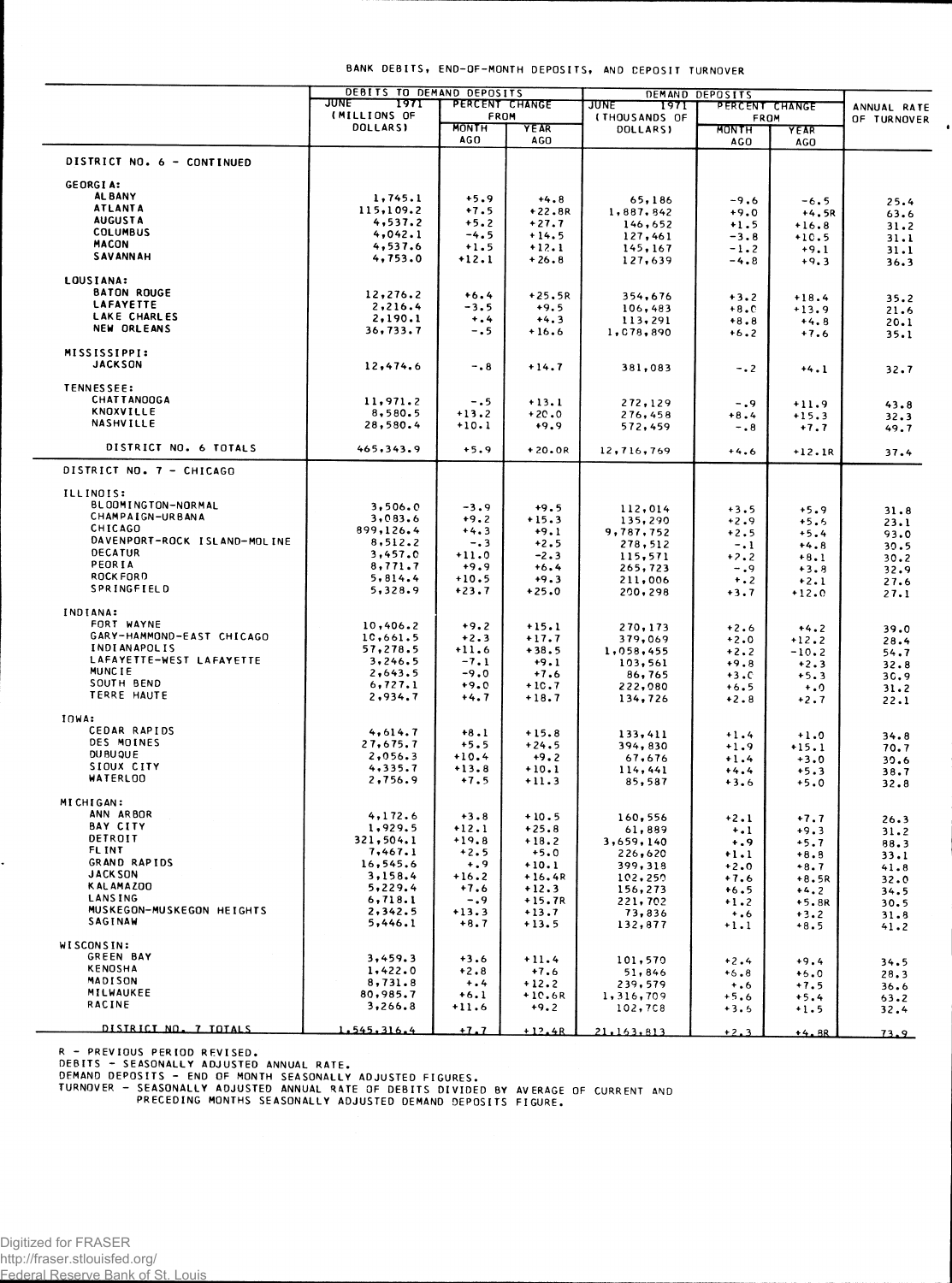## **BANK DEBITS , END-OF-MONT H DEPOSITS , A ND DEPOSI T TURNOVE R**

 $\bullet$ 

|                                                | DEBITS TO DEMAND DEPOSITS    |                      | DEMAND DEPOSITS     |                                  |                  |                    |              |
|------------------------------------------------|------------------------------|----------------------|---------------------|----------------------------------|------------------|--------------------|--------------|
|                                                | JUNE<br>1971<br>(MILLIONS OF | PERCENT CHANGE       |                     | <b>JUNE</b><br>1971              | PERCENT CHANGE   |                    | ANNUAL RATE  |
|                                                | <b>DOLLARSI</b>              | FROM<br><b>MONTH</b> | YEAR                | <b>(THOUSANDS OF</b><br>DOLLARS) | FROM<br>MONTH    | YEAR               | OF TURNOVER  |
|                                                |                              | <b>AGO</b>           | AGO                 |                                  | <b>AGO</b>       | AGO                |              |
| DISTRICT NO. 6 - CONTINUED                     |                              |                      |                     |                                  |                  |                    |              |
|                                                |                              |                      |                     |                                  |                  |                    |              |
| <b>GEORGIA:</b>                                |                              |                      |                     |                                  |                  |                    |              |
| <b>AL BANY</b>                                 | 1,745.1                      | $+5.9$               | $+4.8$              | 65,186                           | $-9.6$           | $-6.5$             | 25.4         |
| <b>ATLANTA</b><br><b>AUGUSTA</b>               | 115,109.2                    | $+7.5$               | $+22.8R$            | 1,887,842                        | $+9.0$           | $+4.5R$            | 63.6         |
| <b>COLUMBUS</b>                                | 4,537.2                      | $+5.2$               | $+27.7$             | 146,652                          | $+1.5$           | $+16.8$            | 31.2         |
| <b>MACON</b>                                   | 4,042.1<br>4,537.6           | $-4.5$               | $+14.5$             | 127,461                          | $-3.8$           | $+10.5$            | 31.1         |
| <b>SAVANNAH</b>                                | 4,753.0                      | $+1.5$<br>$+12.1$    | $+12.1$<br>$+26.8$  | 145, 167<br>127,639              | $-1.2$<br>$-4.8$ | $+9.1$             | 31.1         |
|                                                |                              |                      |                     |                                  |                  | $+9.3$             | 36.3         |
| LOUSIANA:                                      |                              |                      |                     |                                  |                  |                    |              |
| <b>BATON ROUGE</b>                             | 12,276.2                     | $+6.4$               | $+25.5R$            | 354,676                          | $+3.2$           | $+18.4$            | 35.2         |
| <b>LAFAYETTE</b>                               | 2,216.4                      | -3.5                 | $+9.5$              | 106,483                          | $+8.0$           | $+13.9$            | 21.6         |
| LAKE CHARLES<br><b>NEW ORLEANS</b>             | 2,190.1                      | $+$ .4               | $+4.3$              | 113,291                          | $+8.8$           | $+4.8$             | 20.1         |
|                                                | 36,733.7                     | $-0.5$               | $+16.6$             | 1,078,890                        | $+6.2$           | $+7.6$             | 35.1         |
| <b>MISSISSIPPI:</b>                            |                              |                      |                     |                                  |                  |                    |              |
| <b>JACKSON</b>                                 | 12,474.6                     | $-0.8$               | $+14.7$             | 381,083                          | $-0.2$           | $+4.1$             | 32.7         |
|                                                |                              |                      |                     |                                  |                  |                    |              |
| <b>TENNESSEE:</b><br><b>CHATTANOOGA</b>        |                              |                      |                     |                                  |                  |                    |              |
| <b>KNOXVILLE</b>                               | 11,971.2<br>8,580.5          | $-0.5$               | $+13.1$             | 272,129                          | $-0.9$           | $+11.9$            | 43.8         |
| NASHVILLE                                      | 28,580.4                     | $+13.2$<br>$+10.1$   | $+20.0$<br>$+9.9$   | 276,458                          | $+8.4$           | $+15.3$            | 32.3         |
|                                                |                              |                      |                     | 572,459                          | $-0.8$           | $+7.7$             | 49.7         |
| DISTRICT NO. 6 TOTALS                          | 465,343.9                    | $+5.9$               | $+20.0R$            | 12,716,769                       | $+4.6$           | $+12.1R$           | 37.4         |
| DISTRICT NO. 7 - CHICAGO                       |                              |                      |                     |                                  |                  |                    |              |
| ILLINOIS:                                      |                              |                      |                     |                                  |                  |                    |              |
| BLOOMINGTON-NORMAL                             | 3,506.0                      | $-3.9$               | $+9.5$              | 112,014                          | $+3.5$           | $+5.9$             | 31.8         |
| CHAMPAIGN-URBANA                               | 3,083.6                      | $+9.2$               | $+15.3$             | 135,290                          | $+2.9$           | $+5.5$             | 23.1         |
| CHICAGO                                        | 899,126.4                    | $+4.3$               | $+9.1$              | 9,787,752                        | $+2.5$           | $+5.4$             | 93.0         |
| DAVENPORT-ROCK ISLAND-MOLINE<br><b>DECATUR</b> | 8,512.2                      | $-0.3$               | $+2.5$              | 278,512                          | $-1$             | $+4.8$             | 30.5         |
| PEORIA                                         | 3,457.0                      | $+11.0$              | $-2.3$              | 115,571                          | $+7.2$           | $+8.1$             | 30.2         |
| ROCK FORD                                      | 8,771.7<br>5,814.4           | $+9.9$<br>$+10.5$    | $+6.4$              | 265,723                          | $-0.9$           | $+3.8$             | 32.9         |
| SPRINGFIELD                                    | 5,328.9                      | $+23.7$              | $+9.3$<br>$+25.0$   | 211,006<br>200, 298              | $+$ .2<br>$+3.7$ | $+2.1$<br>$+12.0$  | 27.6<br>27.1 |
|                                                |                              |                      |                     |                                  |                  |                    |              |
| INDIANA:<br>FORT WAYNE                         | 10,406.2                     | $+9.2$               | $+15.1$             |                                  |                  |                    |              |
| GARY-HAMMOND-EAST CHICAGO                      | 10,661.5                     | $+2.3$               | $+17.7$             | 270,173<br>379,069               | $+2.6$<br>$+2.0$ | $+4.2$             | 39.0         |
| <b>INDIANAPOLIS</b>                            | 57,278.5                     | $+11.6$              | $+38.5$             | 1,058,455                        | $+2.2$           | $+12.2$<br>$-10.2$ | 28.4<br>54.7 |
| LAFAYETTE-WEST LAFAYETTE                       | 3, 246.5                     | $-7.1$               | $+9.1$              | 103,561                          | $+9.8$           | $+2.3$             | 32.8         |
| <b>MUNCIE</b>                                  | 2,643.5                      | $-9.0$               | $+7.6$              | 86,765                           | $+3.0$           | $+5.3$             | 30.9         |
| SOUTH BEND                                     | 6,727.1                      | $+9.0$               | $+10.7$             | 222,080                          | $+6.5$           | $+0$               | 31.2         |
| TERRE HAUTE                                    | 2,934.7                      | +4.7                 | $+18.7$             | 134,726                          | $+2.8$           | $+2.7$             | 22.1         |
| IOWA:                                          |                              |                      |                     |                                  |                  |                    |              |
| CEDAR RAPIDS                                   | 4,614.7                      | $+8.1$               | $+15.8$             | 133,411                          | $+1.4$           | $+1.0$             | 34.8         |
| DES MOINES                                     | 27,675.7                     | $+5.5$               | $+24.5$             | 394,830                          | $+1.9$           | $+15.1$            | 70.7         |
| DU BU QUE                                      | 2,056.3                      | $+10.4$              | $+9.2$              | 67,676                           | $+1.4$           | $+3.0$             | 30.6         |
| SIOUX CITY                                     | 4,335.7                      | $+13.8$              | $+10.1$             | 114,441                          | $+4.4$           | $+5.3$             | 38.7         |
| <b>WATERLOO</b>                                | 2,756.9                      | $+7.5$               | $+11.3$             | 85,587                           | $+3.6$           | $+5.0$             | 32.8         |
| MICHIGAN:                                      |                              |                      |                     |                                  |                  |                    |              |
| ANN ARBOR                                      | 4,172.6                      | $+3.8$               | $+10.5$             | 160,556                          | $+2.1$           | $+7.7$             | 26.3         |
| <b>BAY CITY</b>                                | 1,929.5                      | $+12.1$              | $+25.8$             | 61,889                           | $\ddotsc$        | $+9.3$             | 31.2         |
| DETROIT                                        | 321,504.1                    | $+19.8$              | $+18.2$             | 3,659,140                        | $+ .9$           | $+5.7$             | 88.3         |
| <b>FLINT</b>                                   | 7,467.1                      | $+2.5$               | $+5.0$              | 226,620                          | $+1.1$           | $+8.8$             | 33.1         |
| GRAND RAPIDS                                   | 16,545.6                     | $+0.9$               | $+10.1$             | 399,318                          | $+2.0$           | $+8.7$             | 41.8         |
| <b>JACK SON</b><br>KAL AMAZOO                  | 3,158.4                      | $+16.2$              | $+16.4R$            | 102,250                          | $+7.6$           | $+8.5R$            | 32.0         |
| <b>LANSING</b>                                 | 5,229.4<br>6, 718.1          | $+7.6$<br>$-0.9$     | $+12.3$<br>$+15.7R$ | 156,273                          | $+6.5$           | $+4.2$             | 34.5         |
| MUSKEGON-MUSKEGON HEIGHTS                      | 2,342.5                      | $+13.3$              | $+13.7$             | 221,702<br>73,836                | $+1.2$<br>$+0.6$ | $+5.8R$            | 30.5         |
| SAGINAW                                        | 5,446.1                      | $+8.7$               | $+13.5$             | 132,877                          | $+1.1$           | $+3.2$<br>$+8.5$   | 31.8<br>41.2 |
| WISCONSIN:                                     |                              |                      |                     |                                  |                  |                    |              |
| <b>GREEN BAY</b>                               | 3,459.3                      | $+3.6$               | $+11.4$             | 101,570                          | $+2.4$           | $+9.4$             | 34.5         |
| <b>KENOSHA</b>                                 | 1.422.0                      | $+2.8$               | $+7.6$              | 51,846                           | $+6.8$           | $+6.0$             | 28.3         |
| MADISON                                        | 8,731.8                      | $+ 1.4$              | $+12.2$             | 239,579                          | $+0.6$           | $+7.5$             | 36.6         |
| MILWAUKEE                                      | 80,985.7                     | $+6.1$               | $+10.6R$            | 1,316,709                        | $+5.6$           | $+5.4$             | 63.2         |
| <b>RACINE</b>                                  | 3,266.8                      | $+11.6$              | $+9.2$              | 102,708                          | $+3.6$           | $+1.5$             | 32.4         |
| DISTRICT NO. 7 TOTALS                          | 1.545.316.4                  | $+1.7$               | $+12.4R$            | 21,163,813                       | $+2.3$           | $+4.8R$            | 73.9         |

R - PREVIOUS PERIOD REVISED.<br>DEBITS - SEASONALLY ADJUSTED ANNUAL RATE.<br>DEMAND DEPOSITS - END OF MONTH SEASONALLY ADJUSTED FIGURES.<br>TURNOVER - SEASONALLY ADJUSTED ANNUAL RATE OF DEBITS DIVIDED BY AVERAGE OF CURRENT AND<br>PREC

.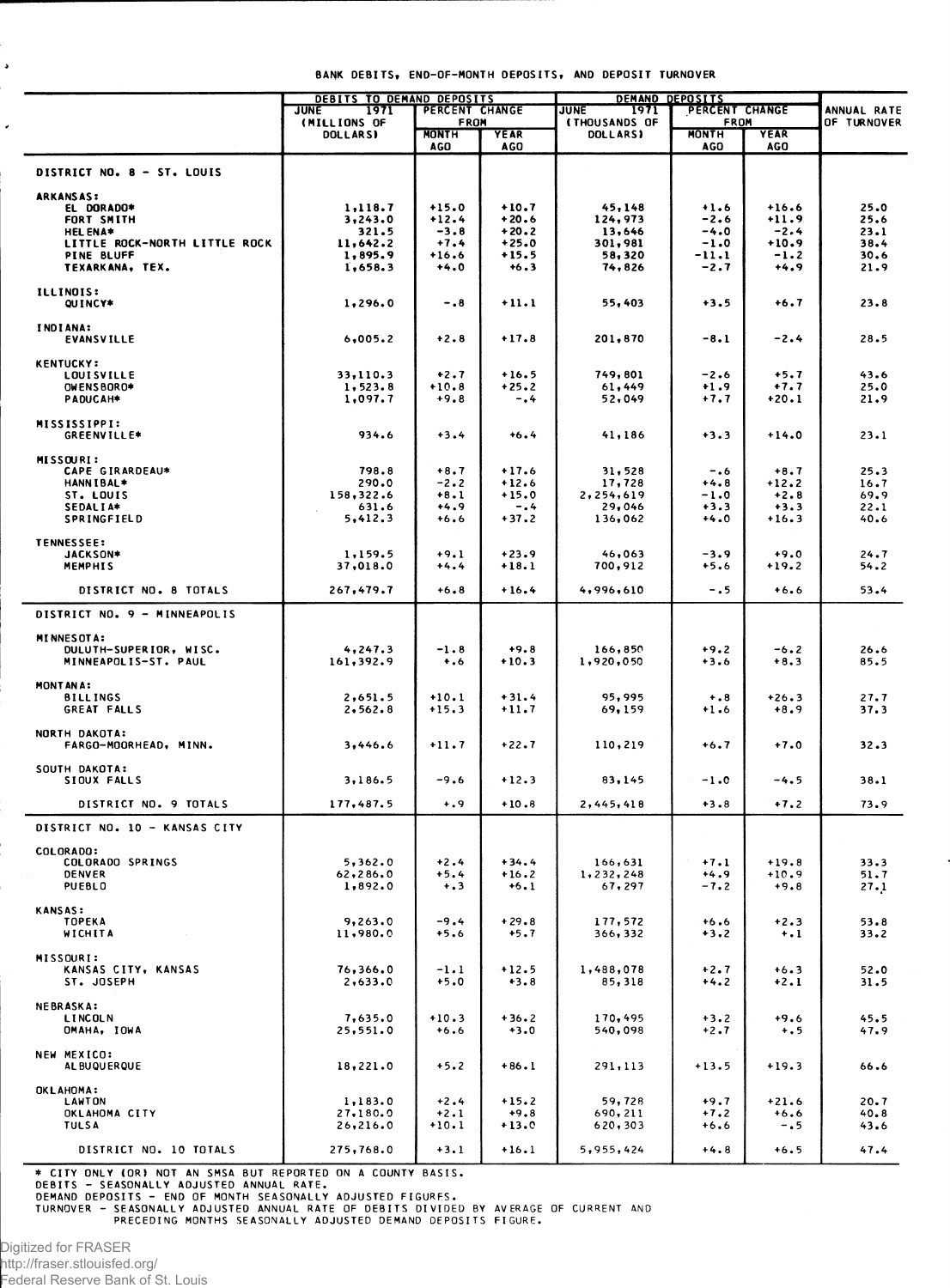|  | BANK DEBITS, END-OF-MONTH DEPOSITS, AND DEPOSIT TURNOVER |  |  |
|--|----------------------------------------------------------|--|--|

|                                                                                                                                          | <b>DEBITS TO DEMAND DEPOSITS</b>                              |                                                             |                                                               | DEMAND DEPOSITS<br>PERCENT CHANGE                          |                                                           |                                                             |                                              |
|------------------------------------------------------------------------------------------------------------------------------------------|---------------------------------------------------------------|-------------------------------------------------------------|---------------------------------------------------------------|------------------------------------------------------------|-----------------------------------------------------------|-------------------------------------------------------------|----------------------------------------------|
|                                                                                                                                          | <b>JUNE</b><br>1971<br>(MILLIONS OF                           | PERCENT CHANGE<br>FROM                                      |                                                               | 1971<br><b>JUNE</b><br><b>(THOUSANDS OF</b>                | FROM                                                      |                                                             | ANNUAL RATE<br><b>OF TURNOVER</b>            |
|                                                                                                                                          | <b>DOLLARSI</b>                                               | <b>MONTH</b><br>AGO                                         | <b>YEAR</b><br><b>AGO</b>                                     | <b>DOLLARSI</b>                                            | <b>MONTH</b><br><b>AGO</b>                                | YEAR<br>AGO                                                 |                                              |
| DISTRICT NO. 8 - ST. LOUIS                                                                                                               |                                                               |                                                             |                                                               |                                                            |                                                           |                                                             |                                              |
| <b>ARKANSAS:</b><br>EL DORADO*<br>FORT SMITH<br><b>HEL ENA*</b><br>LITTLE ROCK-NORTH LITTLE ROCK<br><b>PINE BLUFF</b><br>TEXARKANA, TEX. | 1,118.7<br>3,243.0<br>321.5<br>11,642.2<br>1,895.9<br>1,658.3 | $+15.0$<br>$+12.4$<br>$-3.8$<br>$+7.4$<br>$+16.6$<br>$+4.0$ | $+10.7$<br>$+20.6$<br>$+20.2$<br>$+25.0$<br>$+15.5$<br>$+6.3$ | 45,148<br>124,973<br>13,646<br>301,981<br>58,320<br>74,826 | $+1.6$<br>$-2.6$<br>$-4.0$<br>$-1.0$<br>$-11.1$<br>$-2.7$ | $+16.6$<br>$+11.9$<br>$-2.4$<br>$+10.9$<br>$-1.2$<br>$+4.9$ | 25.0<br>25.6<br>23.1<br>38.4<br>30.6<br>21.9 |
| <b>ILLINOIS:</b><br>QUINCY*                                                                                                              | 1,296.0                                                       | $-0.8$                                                      | $+11.1$                                                       | 55,403                                                     | $+3.5$                                                    | +6.7                                                        | 23.8                                         |
| INDIANA:<br><b>EVANSVILLE</b>                                                                                                            | 6,005.2                                                       | $+2.8$                                                      | $+17.8$                                                       | 201,870                                                    | $-8.1$                                                    | $-2.4$                                                      | 28.5                                         |
| <b>KENTUCKY:</b><br><b>LOUISVILLE</b><br>OWENSBORO*<br>PADUCAH*                                                                          | 33,110.3<br>1, 523.8<br>1,097.7                               | $+2.7$<br>$+10.8$<br>$+9.8$                                 | $+16.5$<br>$+25.2$<br>-.4                                     | 749,801<br>61,449<br>52,049                                | $-2.6$<br>$+1.9$<br>$+7.7$                                | $+5.7$<br>$+7.7$<br>$+20.1$                                 | 43.6<br>25.0<br>21.9                         |
| MISSISSIPPI:<br><b>GREENVILLE*</b>                                                                                                       | 934.6                                                         | $+3.4$                                                      | $+6.4$                                                        | 41,186                                                     | $+3.3$                                                    | $+14.0$                                                     | 23.1                                         |
| MISSOURI:<br>CAPE GIRARDEAU*<br><b>HANNIBAL*</b><br>ST. LOUIS<br>SEDALIA*<br>SPRINGFIELD                                                 | 798.8<br>290.0<br>158,322.6<br>631.6<br>5,412.3               | $+8.7$<br>$-2.2$<br>$+8.1$<br>$+4.9$<br>$+6.6$              | $+17.6$<br>$+12.6$<br>$+15.0$<br>$-0.4$<br>$+37.2$            | 31,528<br>17,728<br>2,254,619<br>29,046<br>136,062         | $-0.6$<br>$+4.8$<br>$-1.0$<br>$+3.3$<br>$+4.0$            | $+8.7$<br>$+12.2$<br>$+2.8$<br>$+3.3$<br>$+16.3$            | 25.3<br>16.7<br>69.9<br>22.1<br>40.6         |
| <b>TENNESSEE:</b><br>JACKSON*<br><b>MEMPHIS</b>                                                                                          | 1,159.5<br>37,018.0                                           | $+9.1$<br>$+4.4$                                            | $+23.9$<br>$+18.1$                                            | 46,063<br>700,912                                          | $-3.9$<br>$+5.6$                                          | $+9.0$<br>$+19.2$                                           | 24.7<br>54.2                                 |
| DISTRICT NO. 8 TOTALS                                                                                                                    | 267,479.7                                                     | $+6.8$                                                      | $+16.4$                                                       | 4,996,610                                                  | $-0.5$                                                    | $+6.6$                                                      | 53.4                                         |
| DISTRICT NO. 9 - MINNEAPOLIS                                                                                                             |                                                               |                                                             |                                                               |                                                            |                                                           |                                                             |                                              |
| <b>MINNESOTA:</b><br>DULUTH-SUPERIOR, WISC.<br>MINNEAPOLIS-ST. PAUL                                                                      | 4,247.3<br>161,392.9                                          | $-1.8$<br>$+0.6$                                            | $+9.8$<br>$+10.3$                                             | 166,850<br>1,920,050                                       | $+9.2$<br>$+3.6$                                          | $-6.2$<br>$+8.3$                                            | 26.6<br>85.5                                 |
| MONTANA:<br><b>BILLINGS</b><br>GREAT FALLS                                                                                               | 2,651.5<br>2, 562.8                                           | $+10.1$<br>$+15.3$                                          | $+31.4$<br>$+11.7$                                            | 95,995<br>69,159                                           | $+ 0.8$<br>$+1.6$                                         | $+26.3$<br>$+8.9$                                           | 27.7<br>37.3                                 |
| NORTH DAKOTA:<br>FARGO-MOORHEAD, MINN.                                                                                                   | 3,446.6                                                       | $+11.7$                                                     | $+22.7$                                                       | 110,219                                                    | $+6.7$                                                    | $+7.0$                                                      | 32.3                                         |
| SOUTH DAKOTA:<br>SIOUX FALLS                                                                                                             | 3,186.5                                                       | $-9.6$                                                      | $+12.3$                                                       | 83,145                                                     | $-1.0$                                                    | -4.5                                                        | 38.1                                         |
| DISTRICT NO. 9 TOTALS                                                                                                                    | 177,487.5                                                     | $+ 0.9$                                                     | $+10.8$                                                       | 2,445,418                                                  | $+3.8$                                                    | $+7.2$                                                      | 73.9                                         |
| DISTRICT NO. 10 - KANSAS CITY                                                                                                            |                                                               |                                                             |                                                               |                                                            |                                                           |                                                             |                                              |
| COLORADO:<br>COLORADO SPRINGS<br><b>DENVER</b><br><b>PUEBLO</b>                                                                          | 5,362.0<br>62,286.0<br>1,892.0                                | $+2.4$<br>$+5.4$<br>$+3$                                    | $+34.4$<br>$+16.2$<br>$+6.1$                                  | 166,631<br>1,232,248<br>67,297                             | $+7.1$<br>$+4.9$<br>$-7.2$                                | $+19.8$<br>$+10.9$<br>$+9.8$                                | 33.3<br>51.7<br>27.1                         |
| <b>KANSAS:</b><br><b>TOPEKA</b><br>WICHITA                                                                                               | 9,263.0<br>11,980.0                                           | $-9.4$<br>$+5.6$                                            | $+29.8$<br>$+5.7$                                             | 177,572<br>366, 332                                        | $+6.6$<br>$+3.2$                                          | $+2.3$<br>$\dots$                                           | 53.8<br>33.2                                 |
| MISSOURI:<br>KANSAS CITY, KANSAS<br>ST. JOSEPH                                                                                           | 76,366.0<br>2,633.0                                           | $-1.1$<br>$+5.0$                                            | $+12.5$<br>$+3.8$                                             | 1,488,078<br>85,318                                        | $+2.7$<br>$+4.2$                                          | $+6.3$<br>$+2.1$                                            | 52.0<br>31.5                                 |
| <b>NEBRASKA:</b><br><b>LINCOLN</b><br>OMAHA, IOWA                                                                                        | 7,635.0<br>25,551.0                                           | $+10.3$<br>$+6.6$                                           | $+36.2$<br>$+3.0$                                             | 170,495<br>540,098                                         | $+3.2$<br>$+2.7$                                          | $+9.6$<br>$+ . 5$                                           | 45.5<br>47.9                                 |
| NEW MEXICO:<br>AL BUQUERQUE                                                                                                              | 18,221.0                                                      | $+5.2$                                                      | $+86.1$                                                       | 291,113                                                    | $+13.5$                                                   | $+19.3$                                                     | 66.6                                         |
| <b>OKLAHOMA:</b><br><b>LAWTON</b><br>OKLAHOMA CITY<br><b>TULSA</b>                                                                       | 1,183.0<br>27,180.0<br>26,216.0                               | $+2.4$<br>$+2.1$<br>$+10.1$                                 | $+15.2$<br>$+9.8$<br>$+13.0$                                  | 59,728<br>690,211<br>620,303                               | $+9.7$<br>$+7.2$<br>$+6.6$                                | $+21.6$<br>$+6.6$<br>$-0.5$                                 | 20.7<br>40.8<br>43.6                         |
| DISTRICT NO. 10 TOTALS                                                                                                                   | 275,768.0                                                     | $+3.1$                                                      | $+16.1$                                                       | 5,955,424                                                  | $+4.8$                                                    | $+6.5$                                                      | 47.4                                         |

\* CITY ONLY (OR) NOT AN SMSA BUT REPORTED ON A COUNTY BASIS.<br>DEBITS - SEASONALLY ADJUSTED ANNUAL RATE.<br>DEMAND DEPOSITS - END OF MONTH SEASONALLY ADJUSTED FIGURES.<br>TURNOVER - SEASONALLY ADJUSTED ANNUAL RATE OF DEBITS DIVIDE

 $\ddot{\phantom{0}}$ 

 $\overline{\phantom{a}}$